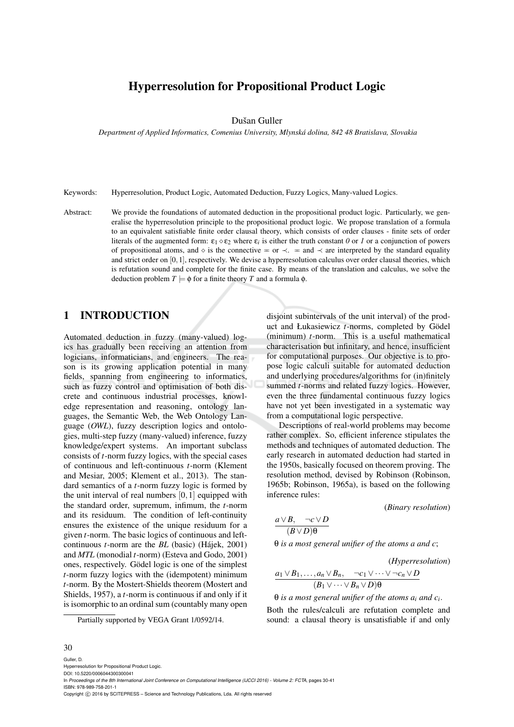# Hyperresolution for Propositional Product Logic

Dušan Guller

*Department of Applied Informatics, Comenius University, Mlynska dolina, 842 48 Bratislava, Slovakia ´*

Keywords: Hyperresolution, Product Logic, Automated Deduction, Fuzzy Logics, Many-valued Logics.

Abstract: We provide the foundations of automated deduction in the propositional product logic. Particularly, we generalise the hyperresolution principle to the propositional product logic. We propose translation of a formula to an equivalent satisfiable finite order clausal theory, which consists of order clauses - finite sets of order literals of the augmented form:  $\epsilon_1 \diamond \epsilon_2$  where  $\epsilon_i$  is either the truth constant *0* or *1* or a conjunction of powers of propositional atoms, and  $\circ$  is the connective  $=$  or  $\prec$ .  $=$  and  $\prec$  are interpreted by the standard equality and strict order on  $[0,1]$ , respectively. We devise a hyperresolution calculus over order clausal theories, which is refutation sound and complete for the finite case. By means of the translation and calculus, we solve the deduction problem  $T \models \phi$  for a finite theory *T* and a formula  $\phi$ .

#### 1 INTRODUCTION

Automated deduction in fuzzy (many-valued) logics has gradually been receiving an attention from logicians, informaticians, and engineers. The reason is its growing application potential in many fields, spanning from engineering to informatics, such as fuzzy control and optimisation of both discrete and continuous industrial processes, knowledge representation and reasoning, ontology languages, the Semantic Web, the Web Ontology Language (*OWL*), fuzzy description logics and ontologies, multi-step fuzzy (many-valued) inference, fuzzy knowledge/expert systems. An important subclass consists of *t*-norm fuzzy logics, with the special cases of continuous and left-continuous *t*-norm (Klement and Mesiar, 2005; Klement et al., 2013). The standard semantics of a *t*-norm fuzzy logic is formed by the unit interval of real numbers  $[0,1]$  equipped with the standard order, supremum, infimum, the *t*-norm and its residuum. The condition of left-continuity ensures the existence of the unique residuum for a given *t*-norm. The basic logics of continuous and leftcontinuous *t*-norm are the *BL* (basic) (Hajek, 2001) ´ and *MTL* (monodial *t*-norm) (Esteva and Godo, 2001) ones, respectively. Gödel logic is one of the simplest *t*-norm fuzzy logics with the (idempotent) minimum *t*-norm. By the Mostert-Shields theorem (Mostert and Shields, 1957), a *t*-norm is continuous if and only if it is isomorphic to an ordinal sum (countably many open

Partially supported by VEGA Grant 1/0592/14.

disjoint subintervals of the unit interval) of the product and Łukasiewicz *t*-norms, completed by Gödel (minimum) *t*-norm. This is a useful mathematical characterisation but infinitary, and hence, insufficient for computational purposes. Our objective is to propose logic calculi suitable for automated deduction and underlying procedures/algorithms for (in)finitely summed *t*-norms and related fuzzy logics. However, even the three fundamental continuous fuzzy logics have not yet been investigated in a systematic way from a computational logic perspective.

Descriptions of real-world problems may become rather complex. So, efficient inference stipulates the methods and techniques of automated deduction. The early research in automated deduction had started in the 1950s, basically focused on theorem proving. The resolution method, devised by Robinson (Robinson, 1965b; Robinson, 1965a), is based on the following inference rules:

(*Binary resolution*)

$$
\frac{a\vee B, \quad \neg c\vee D}{(B\vee D)\theta}
$$

θ *is a most general unifier of the atoms a and c*;

(*Hyperresolution*)  
\n
$$
\underbrace{a_1 \vee B_1, \ldots, a_n \vee B_n, \quad \neg c_1 \vee \cdots \vee \neg c_n \vee D}_{(B_1 \vee \cdots \vee B_n \vee D)\theta}
$$

θ *is a most general unifier of the atoms a<sup>i</sup> and c<sup>i</sup>* .

Both the rules/calculi are refutation complete and sound: a clausal theory is unsatisfiable if and only

#### 30

Guller, D. Hyperresolution for Propositional Product Logic. DOI: 10.5220/0006044300300041 In *Proceedings of the 8th International Joint Conference on Computational Intelligence (IJCCI 2016) - Volume 2: FCTA*, pages 30-41 ISBN: 978-989-758-201-1

Copyright (C) 2016 by SCITEPRESS - Science and Technology Publications, Lda. All rights reserved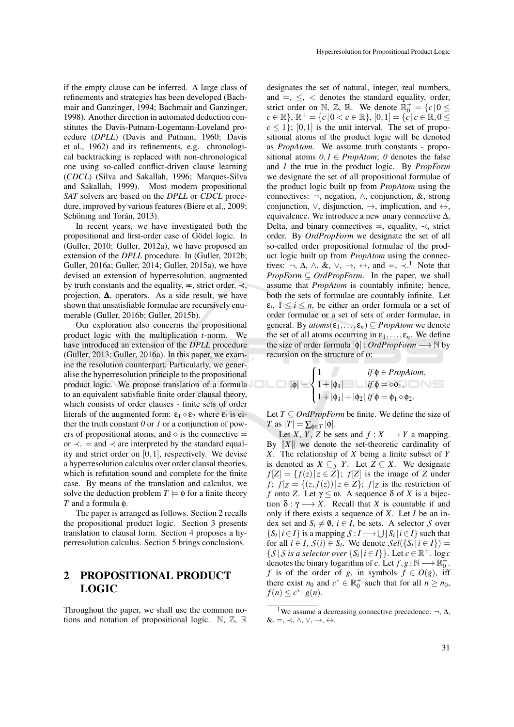if the empty clause can be inferred. A large class of refinements and strategies has been developed (Bachmair and Ganzinger, 1994; Bachmair and Ganzinger, 1998). Another direction in automated deduction constitutes the Davis-Putnam-Logemann-Loveland procedure (*DPLL*) (Davis and Putnam, 1960; Davis et al., 1962) and its refinements, e.g. chronological backtracking is replaced with non-chronological one using so-called conflict-driven clause learning (*CDCL*) (Silva and Sakallah, 1996; Marques-Silva and Sakallah, 1999). Most modern propositional *SAT* solvers are based on the *DPLL* or *CDCL* procedure, improved by various features (Biere et al., 2009; Schöning and Torán, 2013).

In recent years, we have investigated both the propositional and first-order case of Gödel logic. In (Guller, 2010; Guller, 2012a), we have proposed an extension of the *DPLL* procedure. In (Guller, 2012b; Guller, 2016a; Guller, 2014; Guller, 2015a), we have devised an extension of hyperresolution, augmented by truth constants and the equality,  $\equiv$ , strict order,  $\prec$ , projection,  $\Delta$ , operators. As a side result, we have shown that unsatisfiable formulae are recursively enumerable (Guller, 2016b; Guller, 2015b).

Our exploration also concerns the propositional product logic with the multiplication *t*-norm. We have introduced an extension of the *DPLL* procedure (Guller, 2013; Guller, 2016a). In this paper, we examine the resolution counterpart. Particularly, we generalise the hyperresolution principle to the propositional product logic. We propose translation of a formula to an equivalent satisfiable finite order clausal theory, which consists of order clauses - finite sets of order literals of the augmented form:  $\varepsilon_1 \diamond \varepsilon_2$  where  $\varepsilon_i$  is either the truth constant *0* or *1* or a conjunction of powers of propositional atoms, and  $\diamond$  is the connective  $\equiv$ or  $\prec$ . = and  $\prec$  are interpreted by the standard equality and strict order on [0,1], respectively. We devise a hyperresolution calculus over order clausal theories, which is refutation sound and complete for the finite case. By means of the translation and calculus, we solve the deduction problem  $T \models \phi$  for a finite theory *T* and a formula φ.

The paper is arranged as follows. Section 2 recalls the propositional product logic. Section 3 presents translation to clausal form. Section 4 proposes a hyperresolution calculus. Section 5 brings conclusions.

#### 2 PROPOSITIONAL PRODUCT LOGIC

Throughout the paper, we shall use the common notions and notation of propositional logic.  $\mathbb{N}, \mathbb{Z}, \mathbb{R}$  designates the set of natural, integer, real numbers, and  $=$ ,  $\le$ ,  $\lt$  denotes the standard equality, order, strict order on N, Z, R. We denote  $\mathbb{R}^+_0 = \{c \mid 0 \leq$  $c \in \mathbb{R}$ ,  $\mathbb{R}^+ = \{c \mid 0 < c \in \mathbb{R} \}, [0,1] = \{c \mid c \in \mathbb{R}, 0 \le c \le c \}$  $c \le 1$ ; [0,1] is the unit interval. The set of propositional atoms of the product logic will be denoted as *PropAtom*. We assume truth constants - propositional atoms  $0, I \in \text{PropAtom}$ ;  $0$  denotes the false and *1* the true in the product logic. By *PropForm* we designate the set of all propositional formulae of the product logic built up from *PropAtom* using the connectives: ¬, negation, ∧, conjunction, &, strong conjunction,  $\vee$ , disjunction,  $\rightarrow$ , implication, and  $\leftrightarrow$ , equivalence. We introduce a new unary connective  $\Delta$ , Delta, and binary connectives  $=$ , equality,  $\prec$ , strict order. By *OrdPropForm* we designate the set of all so-called order propositional formulae of the product logic built up from *PropAtom* using the connectives: ¬,  $\Delta$ ,  $\wedge$ ,  $\&$ ,  $\vee$ ,  $\rightarrow$ ,  $\leftrightarrow$ , and =,  $\prec$ .<sup>1</sup> Note that *PropForm* ⊆ *OrdPropForm*. In the paper, we shall assume that *PropAtom* is countably infinite; hence, both the sets of formulae are countably infinite. Let  $\varepsilon_i, 1 \leq i \leq n$ , be either an order formula or a set of order formulae or a set of sets of order formulae, in general. By  $atoms(\varepsilon_1,...,\varepsilon_n) \subseteq PropAtom$  we denote the set of all atoms occurring in  $\varepsilon_1, \ldots, \varepsilon_n$ . We define the size of order formula |φ| : *OrdPropForm* −→ N by recursion on the structure of φ:

$$
|\phi| = \begin{cases} 1 & \text{if } \phi \in PropAtom, \\ 1 + |\phi_1| & \text{if } \phi = \infty \phi_1, \\ 1 + |\phi_1| + |\phi_2| & \text{if } \phi = \phi_1 \circ \phi_2. \end{cases}
$$

Let  $T \subseteq \text{OrdPropForm}$  be finite. We define the size of  $T$  as  $|T| = \sum_{\phi \in T} |\phi|$ .

Let *X*, *Y*, *Z* be sets and  $f: X \longrightarrow Y$  a mapping. By  $||X||$  we denote the set-theoretic cardinality of *X*. The relationship of *X* being a finite subset of *Y* is denoted as  $X \subseteq_{\mathcal{F}} Y$ . Let  $Z \subseteq X$ . We designate  $f[Z] = \{f(z) | z \in Z\}$ ;  $f[Z]$  is the image of *Z* under  $f$ ;  $f|z = \{(z, f(z)) | z \in Z\}$ ;  $f|z$  is the restriction of *f* onto *Z*. Let  $\gamma \leq \omega$ . A sequence  $\delta$  of *X* is a bijection  $\delta : \gamma \longrightarrow X$ . Recall that *X* is countable if and only if there exists a sequence of *X*. Let *I* be an index set and  $S_i \neq \emptyset$ ,  $i \in I$ , be sets. A selector *S* over  $\{S_i | i \in I\}$  is a mapping  $S: I \longrightarrow \bigcup \{S_i | i \in I\}$  such that for all  $i \in I$ ,  $S(i) \in S_i$ . We denote  $Sel({S_i | i \in I})$  $\{S | S \text{ is a selector over } \{S_i | i \in I\} \}$ . Let  $c \in \mathbb{R}^+$ . log *c* denotes the binary logarithm of *c*. Let  $f, g : \mathbb{N} \longrightarrow \mathbb{R}_0^+$ . *f* is of the order of *g*, in symbols  $f \in O(g)$ , iff there exist  $n_0$  and  $c^* \in \mathbb{R}_0^+$  such that for all  $n \ge n_0$ ,  $f(n) \leq c^* \cdot g(n).$ 

<sup>&</sup>lt;sup>1</sup>We assume a decreasing connective precedence:  $\neg$ ,  $\Delta$ ,  $\&, =, \prec, \wedge, \vee, \rightarrow, \leftrightarrow.$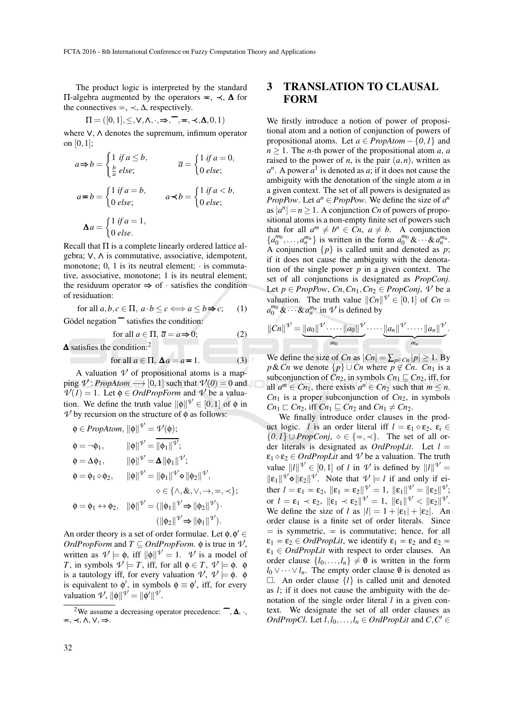The product logic is interpreted by the standard  $\Pi$ -algebra augmented by the operators  $\equiv$ ,  $\prec$ ,  $\Delta$  for the connectives  $=$ ,  $\prec$ ,  $\Delta$ , respectively.

$$
\Pi = ([0,1], \leq, \vee, \wedge, \cdot, \Rightarrow, \overline{\neg}, \equiv, \prec, \Delta, 0, 1)
$$

where ∨, ∧ denotes the supremum, infimum operator on [0,1];

$$
a \Rightarrow b = \begin{cases} 1 & \text{if } a \le b, \\ \frac{b}{a} & \text{else;} \end{cases} \qquad \qquad \overline{a} = \begin{cases} 1 & \text{if } a = 0, \\ 0 & \text{else;} \end{cases}
$$

$$
a \Rightarrow b = \begin{cases} 1 & \text{if } a = b, \\ 0 & \text{else;} \end{cases} \qquad a \prec b = \begin{cases} 1 & \text{if } a < b, \\ 0 & \text{else;} \end{cases}
$$

$$
\Delta a = \begin{cases} 1 & \text{if } a = 1, \\ 0 & \text{else.} \end{cases}
$$

Recall that Π is a complete linearly ordered lattice algebra; ∨, ∧ is commutative, associative, idempotent, monotone;  $0$ , 1 is its neutral element;  $\cdot$  is commutative, associative, monotone; 1 is its neutral element; the residuum operator  $\Rightarrow$  of  $\cdot$  satisfies the condition of residuation:

for all 
$$
a, b, c \in \Pi
$$
,  $a \cdot b \le c \Longleftrightarrow a \le b \Rightarrow c$ ; (1)

Gödel negation  $\overline{\phantom{a}}$  satisfies the condition:

for all 
$$
a \in \Pi
$$
,  $\overline{a} = a \Rightarrow 0$ ; (2)

∆ satisfies the condition:<sup>2</sup>

for all 
$$
a \in \Pi
$$
,  $\Delta a = a = 1$ . (3)

A valuation  $\nu$  of propositional atoms is a mapping  $V$ : *PropAtom*  $\longrightarrow$  [0,1] such that  $V(0) = 0$  and  $V(1) = 1$ . Let  $\phi \in \text{OrdProveForm}$  and *V* be a valuation. We define the truth value  $\|\phi\|^{V} \in [0,1]$  of  $\phi$  in  $\nu$  by recursion on the structure of  $\phi$  as follows:

$$
\begin{aligned}\n\phi \in PropAtom, \|\phi\| \mathcal{V} &= \mathcal{V}(\phi); \\
\phi &= \neg \phi_1, \qquad \|\phi\| \mathcal{V} = \overline{\|\phi_1\| \mathcal{V}}; \\
\phi &= \Delta \phi_1, \qquad \|\phi\| \mathcal{V} = \Delta \|\phi_1\| \mathcal{V}; \\
\phi &= \phi_1 \diamond \phi_2, \qquad \|\phi\| \mathcal{V} = \|\phi_1\| \mathcal{V} \diamond \|\phi_2\| \mathcal{V}, \\
&\diamond \in \{\land, \& \lor, \rightarrow, =, \prec\}; \\
\phi &= \phi_1 \leftrightarrow \phi_2, \quad \|\phi\| \mathcal{V} = (\|\phi_1\| \mathcal{V} \Rightarrow \|\phi_2\| \mathcal{V}) \cdot \\
(\|\phi_2\| \mathcal{V} \Rightarrow \|\phi_1\| \mathcal{V}).\n\end{aligned}
$$

An order theory is a set of order formulae. Let  $\phi, \phi' \in$ *OrdPropForm* and  $T \subseteq \text{OrdPropForm. } \phi$  is true in  $\mathcal{V}$ , written as  $\mathcal{V} \models \phi$ , iff  $\|\phi\| \mathcal{V} = 1$ . *V* is a model of *T*, in symbols  $\mathcal{V} \models T$ , iff, for all  $\phi \in T$ ,  $\mathcal{V} \models \phi$ .  $\phi$ is a tautology iff, for every valuation  $\mathcal{V}, \mathcal{V} \models \phi$ .  $\phi$ is equivalent to  $\phi'$ , in symbols  $\phi \equiv \phi'$ , iff, for every valuation  $\mathcal{V}, \|\phi\|^{\mathcal{V}} = \|\phi'\|^{\mathcal{V}}.$ 

## 3 TRANSLATION TO CLAUSAL FORM

We firstly introduce a notion of power of propositional atom and a notion of conjunction of powers of propositional atoms. Let  $a \in PropAtom - \{0, 1\}$  and  $n \geq 1$ . The *n*-th power of the propositional atom *a*, *a* raised to the power of *n*, is the pair  $(a, n)$ , written as  $a^n$ . A power  $a^1$  is denoted as *a*; if it does not cause the ambiguity with the denotation of the single atom *a* in a given context. The set of all powers is designated as *PropPow.* Let  $a^n \in PropPow$ . We define the size of  $a^n$ as  $|a^n| = n \ge 1$ . A conjunction *Cn* of powers of propositional atoms is a non-empty finite set of powers such that for all  $a^m \neq b^n \in Cn$ ,  $a \neq b$ . A conjunction  ${a_0^{m_0}, \ldots, a_n^{m_n}}$  is written in the form  $a_0^{m_0}$  &  $\cdots$  &  $a_n^{m_n}$ . A conjunction  $\{p\}$  is called unit and denoted as *p*; if it does not cause the ambiguity with the denotation of the single power *p* in a given context. The set of all conjunctions is designated as *PropConj*. Let  $p \in PropPow$ ,  $C_n$ ,  $C_{n_1}$ ,  $C_{n_2} \in PropConj$ ,  $V$  be a valuation. The truth value  $||Cn||^{\mathcal{V}} \in [0,1]$  of  $Cn =$  $a_0^{m_0}$  &  $\cdots$  &  $a_n^{m_n}$  in  $\mathcal V$  is defined by

$$
||Cn||^{\mathcal{V}}=\underbrace{||a_0||^{\mathcal{V}}\cdot\cdots\cdot||a_0||^{\mathcal{V}}}_{m_0}\cdot\cdots\cdot\underbrace{||a_n||^{\mathcal{V}}\cdot\cdots\cdot||a_n||^{\mathcal{V}}}_{m_n}.
$$

We define the size of *Cn* as  $|C_n| = \sum_{p \in C_n} |p| \ge 1$ . By *p*&*Cn* we denote  $\{p\} \cup C_n$  where  $p \notin C_n$ . *Cn*<sub>1</sub> is a subconjunction of  $C_{n_2}$ , in symbols  $C_{n_1} \sqsubseteq C_{n_2}$ , iff, for all  $a^m \in Cn_1$ , there exists  $a^n \in Cn_2$  such that  $m \leq n$ .  $Cn_1$  is a proper subconjunction of  $Cn_2$ , in symbols  $Cn_1 \sqsubset Cn_2$ , iff  $Cn_1 \sqsubseteq Cn_2$  and  $Cn_1 \neq Cn_2$ .

We finally introduce order clauses in the product logic. *l* is an order literal iff  $l = \varepsilon_1 \diamond \varepsilon_2$ ,  $\varepsilon_i \in$  ${0,1}$  ∪ *PropConj*,  $\diamond \in {\pi, \prec}$ . The set of all order literals is designated as *OrdPropLit*. Let *l* =  $\varepsilon_1 \diamond \varepsilon_2 \in \text{Ord}$ *PropLit* and  $\mathcal V$  be a valuation. The truth value  $||l||^{\mathcal{V}} \in [0,1]$  of *l* in  $\mathcal{V}$  is defined by  $||l||^{\mathcal{V}} =$  $\|\varepsilon_1\|^{\mathcal{V}} \diamond \|\varepsilon_2\|^{\mathcal{V}}$ . Note that  $\mathcal{V} \models l$  if and only if either  $l = \varepsilon_1 = \varepsilon_2$ ,  $\|\varepsilon_1 - \varepsilon_2\|$   $\mathcal{V} = 1$ ,  $\|\varepsilon_1\|$   $\mathcal{V} = \|\varepsilon_2\|$   $\mathcal{V}$ ;  $\mathsf{or} \ \ l = \varepsilon_1 \prec \varepsilon_2, \ \ \|\varepsilon_1 \prec \varepsilon_2\|^{\mathcal{V}} = 1, \ \ \|\varepsilon_1\|^{\mathcal{V}} < \|\varepsilon_2\|^{\mathcal{V}}.$ We define the size of *l* as  $|l| = 1 + |\varepsilon_1| + |\varepsilon_2|$ . An order clause is a finite set of order literals. Since  $=$  is symmetric,  $=$  is commutative; hence, for all  $\varepsilon_1 = \varepsilon_2 \in \text{OrdPropLit}$ , we identify  $\varepsilon_1 = \varepsilon_2$  and  $\varepsilon_2 =$  $\varepsilon_1 \in \text{OrdProp}\text{Lit}$  with respect to order clauses. An order clause  $\{l_0, \ldots, l_n\} \neq \emptyset$  is written in the form  $l_0 \vee \cdots \vee l_n$ . The empty order clause  $\emptyset$  is denoted as  $\Box$ . An order clause  $\{l\}$  is called unit and denoted as *l*; if it does not cause the ambiguity with the denotation of the single order literal *l* in a given context. We designate the set of all order clauses as *OrdPropCl.* Let  $l, l_0, \ldots, l_n \in OrdPropList$  and  $C, C' \in$ 

<sup>&</sup>lt;sup>2</sup>We assume a decreasing operator precedence:  $\overline{\phantom{a}}$ ,  $\Delta$ ,  $\cdot$ , P, ≺, ∧, ∨, ⇒.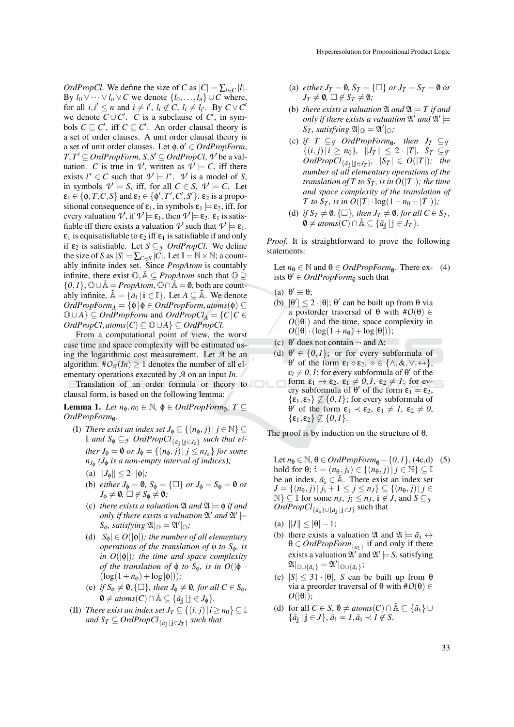*OrdPropCl*. We define the size of *C* as  $|C| = \sum_{l \in C} |l|$ . By  $l_0 \vee \cdots \vee l_n \vee C$  we denote  $\{l_0, \ldots, l_n\} \cup C$  where, for all  $i, i' \leq n$  and  $i \neq i'$ ,  $l_i \notin C$ ,  $l_i \neq l_{i'}$ . By  $C \vee C'$ we denote  $C \cup C'$ . *C* is a subclause of  $C'$ , in symbols  $C \sqsubseteq C'$ , iff  $C \subseteq C'$ . An order clausal theory is a set of order clauses. A unit order clausal theory is a set of unit order clauses. Let  $\phi, \phi' \in OrdPropForm$ ,  $T, T' \subseteq OrdPropForm, S, S' \subseteq OrdPropCl, V$  be a valuation. *C* is true in *V*, written as  $V \models C$ , iff there exists  $l^* \in C$  such that  $\nu \models l^*$ .  $\nu$  is a model of *S*, in symbols  $V \models S$ , iff, for all  $C \in S$ ,  $V \models C$ . Let  $\varepsilon_1 \in \{\phi, T, C, S\}$  and  $\varepsilon_2 \in \{\phi', T', C', S'\}$ .  $\varepsilon_2$  is a propositional consequence of  $\varepsilon_1$ , in symbols  $\varepsilon_1 \models \varepsilon_2$ , iff, for every valuation  $\nu$ , if  $\nu \models \varepsilon_1$ , then  $\nu \models \varepsilon_2$ .  $\varepsilon_1$  is satisfiable iff there exists a valuation  $\nu'$  such that  $\nu' \models \varepsilon_1$ .  $\epsilon_1$  is equisatisfiable to  $\epsilon_2$  iff  $\epsilon_1$  is satisfiable if and only if  $\varepsilon_2$  is satisfiable. Let  $S \subseteq \mathcal{F}$  *OrdPropCl*. We define the size of *S* as  $|S| = \sum_{C \in S} |C|$ . Let  $\mathbb{I} = \mathbb{N} \times \mathbb{N}$ ; a countably infinite index set. Since *PropAtom* is countably infinite, there exist  $\mathbb{O}, \tilde{\mathbb{A}} \subseteq \text{PropAtom}$  such that  $\mathbb{O} \supseteq$  $\{0,1\}$ ,  $\mathbb{O} \cup \mathbb{A} = \text{PropAtom}$ ,  $\mathbb{O} \cap \mathbb{A} = \emptyset$ , both are countably infinite,  $\tilde{A} = {\tilde{a}_i | i \in \mathbb{I}}$ . Let  $A \subseteq \tilde{A}$ . We denote  $OrdPropForm_A = {φ|φ ∈ OrdPropForm, atoms(φ) ⊆$  $\mathbb{O} \cup A$   $\subseteq$  *OrdPropForm* and *OrdPropCl<sub>A</sub>* = {*C*|*C* ∈ *OrdPropCl*,*atoms*(*C*) ⊆ O∪*A*} ⊆ *OrdPropCl*.

From a computational point of view, the worst case time and space complexity will be estimated using the logarithmic cost measurement. Let *A* be an algorithm.  $\#\mathcal{O}_{\mathcal{A}}(In) > 1$  denotes the number of all elementary operations executed by *A* on an input *In*.

Translation of an order formula or theory to clausal form, is based on the following lemma:

**Lemma 1.** *Let*  $n_{\phi}, n_0 \in \mathbb{N}$ ,  $\phi \in OrdPropForm_{\emptyset}$ ,  $T \subseteq$  $OrdPropForm_{\emptyset}.$ 

- (I) *There exist an index set*  $J_{\phi} \subseteq \{(n_{\phi}, j) | j \in \mathbb{N}\}\subseteq$  $\mathbb{I}$  and  $S_{\phi} \subseteq_{\mathcal{F}} OrdPropCl_{\{\tilde{a}_{\tilde{j}} \mid \tilde{j} \in J_{\phi}\}}$  such that ei*ther*  $J_{\phi} = \emptyset$  *or*  $J_{\phi} = \{(n_{\phi}, j) | j \leq n_{J_{\phi}}\}$  *for some nJ*φ *(J*<sup>φ</sup> *is a non-empty interval of indices);*
	- (a)  $||J_{\phi}|| \leq 2 \cdot |\phi|$ ;
	- (b) *either*  $J_{\phi} = \emptyset$ ,  $S_{\phi} = {\Box}$  *or*  $J_{\phi} = S_{\phi} = \emptyset$  *or*  $J_{\Phi} \neq \emptyset$ ,  $\square \notin S_{\Phi} \neq \emptyset$ *;*
	- (c) *there exists a valuation*  $\mathfrak{A}$  *and*  $\mathfrak{A} \models \phi$  *if and only if there exists a valuation*  $\mathfrak{A}'$  *and*  $\mathfrak{A}' \models$  $S_{\phi}$ *, satisfying*  $\mathfrak{A}|_{\mathbb{O}} = \mathfrak{A}'|_{\mathbb{O}}$ *;*
	- (d)  $|S_{\phi}| \in O(|\phi|)$ *; the number of all elementary operations of the translation of* φ *to S*φ*, is in O*(|φ|)*; the time and space complexity of the translation of*  $\phi$  *to*  $S_{\phi}$ *, is in*  $O(|\phi| \cdot$  $(\log(1+n_{\phi}) + \log |\phi|));$
	- (e) *if*  $S_{\phi} \neq \emptyset$ ,  $\{\Box\}$ *, then*  $J_{\phi} \neq \emptyset$ *, for all*  $C \in S_{\phi}$ *,*  $\emptyset \neq atoms(C) \cap \tilde{A} \subseteq {\tilde{a}}_j | j \in J_{\phi}$ .
- (II) *There exist an index set*  $J_T \subseteq \{(i, j) | i \geq n_0\} \subseteq \mathbb{I}$ and  $S_T \subseteq OrdPropCl_{\{\tilde{a}_\mathbf{j} \,|\, \mathbf{j} \in J_T\}}$  such that
- (a) *either*  $J_T = \emptyset$ ,  $S_T = \{\square\}$  *or*  $J_T = S_T = \emptyset$  *or*  $J_T \neq \emptyset$ ,  $\square \notin S_T \neq \emptyset$ *;*
- (b) *there exists a valuation*  $\mathfrak{A}$  *and*  $\mathfrak{A} \models T$  *if and only if there exists a valuation*  $\mathfrak{A}'$  *and*  $\mathfrak{A}' \models$  $S_T$ *, satisfying*  $\mathfrak{A}|_{\mathbb{O}} = \mathfrak{A}'|_{\mathbb{O}}$ *;*
- (c) *if*  $T \subseteq \mathcal{F}$  *OrdPropForm*<sub>0</sub>, then  $J_T \subseteq \mathcal{F}$  $\{(i, j) | i \geq n_0\}, \|J_T\| \leq 2 \cdot |T|, S_T \subseteq g$  $OrdPropCl_{\{\tilde{a}_j | j \in J_T\}}$ ,  $|S_T| \in O(|T|)$ ; the *number of all elementary operations of the translation of T to*  $S_T$ *, is in O*( $|T|$ )*; the time and space complexity of the translation of T* to  $S_T$ , is in  $O(|T| \cdot \log(1+n_0+|T|));$
- (d) *if*  $S_T \neq \emptyset$ ,  $\{\Box\}$ *, then*  $J_T \neq \emptyset$ *, for all*  $C \in S_T$ *,*  $\emptyset \neq atoms(C) \cap \tilde{A} \subseteq {\tilde{a}}_j | j \in J_T$ .

*Proof.* It is straightforward to prove the following statements:

Let  $n_{\theta} \in \mathbb{N}$  and  $\theta \in OrdPropForm_{\theta}$ . There ex- (4) ists  $\theta' \in \text{OrdPropForm}_{\emptyset}$  such that

- (a)  $\theta' \equiv \theta;$
- (b)  $|\theta'| \le 2 \cdot |\theta|$ ;  $\theta'$  can be built up from  $\theta$  via a postorder traversal of θ with #*O*(θ) ∈  $O(|\theta|)$  and the time, space complexity in  $O(|\theta| \cdot (\log(1+n_{\theta}) + \log |\theta|));$
- (c)  $\theta'$  does not contain  $\neg$  and  $\Delta$ ;
- (d)  $\theta' \in \{0,1\}$ ; or for every subformula of  $θ'$  of the form  $\varepsilon_1 \diamond \varepsilon_2$ ,  $\diamond \in \{\land, \&, \lor, \leftrightarrow\},\$  $\varepsilon_i \neq 0, 1$ ; for every subformula of  $\theta'$  of the form  $\epsilon_1 \rightarrow \epsilon_2$ ,  $\epsilon_1 \neq 0, l$ ,  $\epsilon_2 \neq l$ ; for every subformula of  $\theta'$  of the form  $\varepsilon_1 = \varepsilon_2$ ,  $\{\varepsilon_1, \varepsilon_2\} \not\subseteq \{0, 1\}$ ; for every subformula of  $θ'$  of the form  $ε_1$   $\prec$   $ε_2$ ,  $ε_1 \neq 1$ ,  $ε_2 \neq 0$ ,  $\{\varepsilon_1,\varepsilon_2\} \not\subseteq \{0,1\}.$

The proof is by induction on the structure of  $\theta$ .

Let  $n_{\theta} \in \mathbb{N}$ ,  $\theta \in \text{Ord} PropForm_{\theta} - \{0, 1\}$ , (4c,d) (5) hold for  $\theta$ ;  $\mathbf{i} = (n_{\theta}, j_{\mathbf{i}}) \in \{(n_{\theta}, j) | j \in \mathbb{N}\} \subseteq \mathbb{I}$ be an index,  $\tilde{a}_i \in \tilde{A}$ . There exist an index set *J* = { $(n_{\theta}, j) | j_{\theta} + 1 \leq j \leq n_j$ } ⊆ { $(n_{\theta}, j) | j \in$  $\mathbb{N} \} \subseteq \mathbb{I}$  for some  $n_J$ ,  $j_i \leq n_J$ ,  $i \notin J$ , and  $S \subseteq \mathcal{G}$  $OrdPropCl_{\{\tilde{a}_i\}\cup\{\tilde{a}_j\mid j\in J\}}$  such that

- (a)  $||J|| \le |\theta| 1;$
- (b) there exists a valuation  $\mathfrak{A}$  and  $\mathfrak{A} \models \tilde{a}_i \leftrightarrow$  $\theta \in \text{OrdPropForm}_{\{\tilde{a}_i\}}$  if and only if there exists a valuation  $\mathfrak{A}'$  and  $\mathfrak{A}' \models S$ , satisfying  $\mathfrak{A}|_{\mathbb{O}\cup \{\tilde{a}_i\}} = \mathfrak{A}'|_{\mathbb{O}\cup \{\tilde{a}_i\}};$
- (c)  $|S| \leq 31 \cdot |\theta|$ , *S* can be built up from  $\theta$ via a preorder traversal of θ with #*O*(θ) ∈  $O(|\theta|);$
- (d) for all  $C \in S$ ,  $\emptyset \neq atoms(C) \cap \tilde{A} \subseteq {\tilde{a}}_i$  ∪  $\{\tilde{a}_i | j \in J\}, \tilde{a}_i = I, \tilde{a}_i \prec I \notin S.$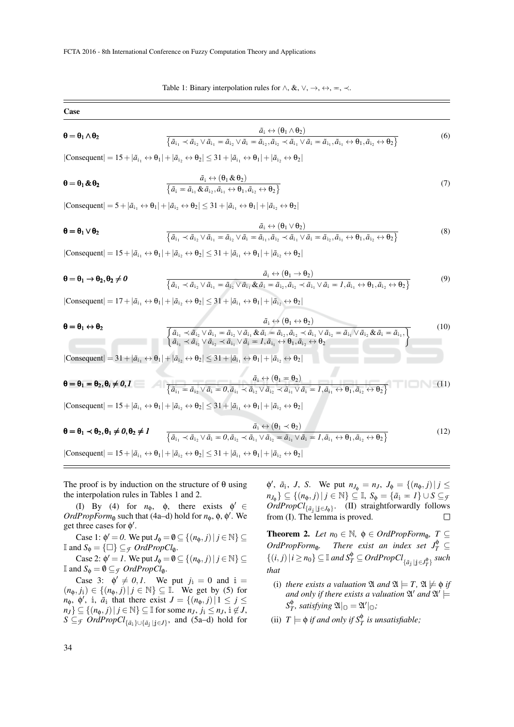Table 1: Binary interpolation rules for  $\land$ , &,  $\lor$ ,  $\rightarrow$ ,  $\leftrightarrow$ ,  $\equiv$ ,  $\prec$ .

Case

$$
\boldsymbol{\theta} = \boldsymbol{\theta}_1 \wedge \boldsymbol{\theta}_2 \qquad \qquad \overline{\{\tilde{a}_{i_1} \prec \tilde{a}_{i_2} \vee \tilde{a}_{i_1} = \tilde{a}_{i_2} \vee \tilde{a}_i = \tilde{a}_{i_2}, \tilde{a}_{i_2} \prec \tilde{a}_{i_1} \vee \tilde{a}_i = \tilde{a}_{i_1}, \tilde{a}_{i_1} \leftrightarrow \theta_1, \tilde{a}_{i_2} \leftrightarrow \theta_2\}}
$$
(6)

 $|Consequent| = 15 + |\tilde{a}_{i_1} \leftrightarrow \theta_1| + |\tilde{a}_{i_2} \leftrightarrow \theta_2| \leq 31 + |\tilde{a}_{i_1} \leftrightarrow \theta_1| + |\tilde{a}_{i_2} \leftrightarrow \theta_2|$ 

$$
\boldsymbol{\theta} = \boldsymbol{\theta}_1 \& \boldsymbol{\theta}_2 \qquad \qquad \frac{\tilde{a}_i \leftrightarrow (\boldsymbol{\theta}_1 \& \boldsymbol{\theta}_2)}{\left\{ \tilde{a}_i = \tilde{a}_{i_1} \& \tilde{a}_{i_2}, \tilde{a}_{i_1} \leftrightarrow \boldsymbol{\theta}_1, \tilde{a}_{i_2} \leftrightarrow \boldsymbol{\theta}_2 \right\}}
$$
\n(7)

 $|\text{Consequent}| = 5 + |\tilde{a}_{i_1} \leftrightarrow \theta_1| + |\tilde{a}_{i_2} \leftrightarrow \theta_2| \leq 31 + |\tilde{a}_{i_1} \leftrightarrow \theta_1| + |\tilde{a}_{i_2} \leftrightarrow \theta_2|$ 

$$
\boldsymbol{\theta} = \boldsymbol{\theta}_1 \vee \boldsymbol{\theta}_2 \qquad \qquad \overline{\{\tilde{a}_{i_1} \prec \tilde{a}_{i_2} \vee \tilde{a}_{i_1} = \tilde{a}_{i_2} \vee \tilde{a}_i = \tilde{a}_{i_1}, \tilde{a}_{i_2} \prec \tilde{a}_{i_1} \vee \tilde{a}_i = \tilde{a}_{i_2}, \tilde{a}_{i_1} \leftrightarrow \theta_1, \tilde{a}_{i_2} \leftrightarrow \theta_2\}}
$$
(8)

 $|Consequent| = 15+|\tilde{a}_{i_1} \leftrightarrow \theta_1| + |\tilde{a}_{i_2} \leftrightarrow \theta_2| \leq 31+|\tilde{a}_{i_1} \leftrightarrow \theta_1| + |\tilde{a}_{i_2} \leftrightarrow \theta_2|$ 

$$
\boldsymbol{\theta} = \boldsymbol{\theta}_1 \rightarrow \boldsymbol{\theta}_2, \boldsymbol{\theta}_2 \neq \boldsymbol{0} \qquad \qquad \frac{\tilde{a}_i \leftrightarrow (\boldsymbol{\theta}_1 \rightarrow \boldsymbol{\theta}_2)}{\left\{ \tilde{a}_{i_1} \prec \tilde{a}_{i_2} \vee \tilde{a}_{i_1} = \tilde{a}_{i_2} \vee \tilde{a}_{i_1} \& \tilde{a}_{i_1} = \tilde{a}_{i_2}, \tilde{a}_{i_2} \prec \tilde{a}_{i_1} \vee \tilde{a}_{i_1} = 1, \tilde{a}_{i_1} \leftrightarrow \boldsymbol{\theta}_1, \tilde{a}_{i_2} \leftrightarrow \boldsymbol{\theta}_2 \right\}}
$$
(9)

 $|\text{Consequent}| = 17 + |\tilde{a}_{i_1} \leftrightarrow \theta_1| + |\tilde{a}_{i_2} \leftrightarrow \theta_2| \leq 31 + |\tilde{a}_{i_1} \leftrightarrow \theta_1| + |\tilde{a}_{i_2} \leftrightarrow \theta_2|$ 

$$
\boldsymbol{\theta} = \boldsymbol{\theta}_1 \leftrightarrow \boldsymbol{\theta}_2
$$
\n
$$
\overline{\left\{\tilde{a}_{i_1} \times \tilde{a}_{i_2} \vee \tilde{a}_{i_1} = \tilde{a}_{i_2} \vee \tilde{a}_{i_1} \& \tilde{a}_{i_2} = \tilde{a}_{i_2}, \tilde{a}_{i_2} \prec \tilde{a}_{i_1} \vee \tilde{a}_{i_2} = \tilde{a}_{i_1} \vee \tilde{a}_{i_2} \& \tilde{a}_{i_1} = \tilde{a}_{i_1}, \right\}}
$$
\n
$$
\left\{\tilde{a}_{i_1} \prec \tilde{a}_{i_2} \vee \tilde{a}_{i_2} \prec \tilde{a}_{i_1} \vee \tilde{a}_{i_2} = 1, \tilde{a}_{i_1} \leftrightarrow \boldsymbol{\theta}_1, \tilde{a}_{i_2} \leftrightarrow \boldsymbol{\theta}_2\right\}
$$
\n
$$
(10)
$$

 $|\text{Consequent}| = 31 + |\tilde{a}_{i_1} \leftrightarrow \theta_1| + |\tilde{a}_{i_2} \leftrightarrow \theta_2| \leq 31 + |\tilde{a}_{i_1} \leftrightarrow \theta_1| + |\tilde{a}_{i_2} \leftrightarrow \theta_2|$ 

$$
\boldsymbol{\theta} = \boldsymbol{\theta}_1 = \boldsymbol{\theta}_2, \boldsymbol{\theta}_i \neq \boldsymbol{0}, I \qquad \qquad \overline{\{\tilde{a}_{i_1} = \tilde{a}_{i_2} \vee \tilde{a}_{i_1} = 0, \tilde{a}_{i_1} \times \tilde{a}_{i_2} \vee \tilde{a}_{i_2} \times \tilde{a}_{i_1} \vee \tilde{a}_{i_2} \times \tilde{a}_{i_1} \vee \tilde{a}_{i_1} = 1, \tilde{a}_{i_1} \leftrightarrow \boldsymbol{\theta}_1, \tilde{a}_{i_2} \leftrightarrow \boldsymbol{\theta}_2\}}
$$
(11)

 $|\text{Consequent}| = 15+|\tilde{a}_{i_1} \leftrightarrow \theta_1| + |\tilde{a}_{i_2} \leftrightarrow \theta_2| \leq 31+|\tilde{a}_{i_1} \leftrightarrow \theta_1| + |\tilde{a}_{i_2} \leftrightarrow \theta_2|$ 

$$
\boldsymbol{\theta} = \boldsymbol{\theta}_1 \prec \boldsymbol{\theta}_2, \boldsymbol{\theta}_1 \neq \boldsymbol{0}, \boldsymbol{\theta}_2 \neq \boldsymbol{I} \qquad \qquad \frac{\tilde{a}_i \leftrightarrow (\boldsymbol{\theta}_1 \prec \boldsymbol{\theta}_2)}{\left\{ \tilde{a}_{i_1} \prec \tilde{a}_{i_2} \vee \tilde{a}_i = 0, \tilde{a}_{i_2} \prec \tilde{a}_{i_1} \vee \tilde{a}_{i_2} = \tilde{a}_{i_1} \vee \tilde{a}_i = 1, \tilde{a}_{i_1} \leftrightarrow \boldsymbol{\theta}_1, \tilde{a}_{i_2} \leftrightarrow \boldsymbol{\theta}_2 \right\}}
$$
(12)

 $|Consequent| = 15 + |\tilde{a}_{i_1} \leftrightarrow \theta_1| + |\tilde{a}_{i_2} \leftrightarrow \theta_2| \leq 31 + |\tilde{a}_{i_1} \leftrightarrow \theta_1| + |\tilde{a}_{i_2} \leftrightarrow \theta_2|$ 

The proof is by induction on the structure of  $\theta$  using the interpolation rules in Tables 1 and 2.

(I) By (4) for  $n_{\phi}$ ,  $\phi$ , there exists  $\phi' \in$  $OrdPropForm_{\emptyset}$  such that (4a–d) hold for  $n_{\emptyset}$ ,  $\emptyset$ ,  $\emptyset'$ . We get three cases for  $\phi'$ .

Case 1:  $\phi' = 0$ . We put  $J_{\phi} = \emptyset \subseteq \{(n_{\phi}, j) | j \in \mathbb{N}\}\subseteq$ If and  $S_{\phi} = {\Box} \subseteq_{\mathcal{F}} OrdPropCl_{\emptyset}.$ 

Case 2:  $\phi' = I$ . We put  $J_{\phi} = \emptyset \subseteq \{(n_{\phi}, j) | j \in \mathbb{N}\}\subseteq$ I and  $S_{\phi} = \emptyset \subseteq \mathcal{F}$  *OrdPropCl*<sub>0</sub>.

Case 3:  $\phi' \neq 0, 1$ . We put  $j_i = 0$  and  $i =$  $(n_{\phi}, j_{\theta})$  ∈ { $(n_{\phi}, j)$  |  $j \in \mathbb{N}$ } ⊆  $\overline{\mathbb{I}}$ . We get by (5) for  $n_{\phi}$ ,  $\phi'$ , *i*,  $\tilde{a}_i$  that there exist  $J = \{(n_{\phi}, j) | 1 \leq j \leq j$ *n*<sub>J</sub>} ⊆ { $(n_{\phi}, j) | j \in \mathbb{N}$ } ⊆ II for some  $n_J$ ,  $j_i$  ≤  $n_J$ ,  $i \notin J$ , *S* ⊆*F OrdPropCl*<sub>{ $\tilde{a}_i$ }∪{ $\tilde{a}_j$ |*j*∈*J*}</sub>, and (5a–d) hold for

 $\phi'$ ,  $\tilde{a}_i$ , *J*, *S*. We put  $n_{J_{\phi}} = n_J$ ,  $J_{\phi} = \{(n_{\phi}, j) | j \leq J\}$  $n_{J_{\phi}}$ }  $\subseteq$  { $(n_{\phi}, j) | j \in \mathbb{N}$ }  $\subseteq$   $\mathbb{I}$ ,  $S_{\phi} =$  { $\tilde{a}_i = I$ } ∪  $S \subseteq g$  $OrdPropCl_{\{\tilde{a}_j\mid j\in J_{\phi}\}}.$  (II) straightforwardly follows from (I). The lemma is proved.  $\Box$ 

**Theorem 2.** Let  $n_0 \in \mathbb{N}$ ,  $\phi \in OrdPropForm_{\emptyset}$ ,  $T \subseteq$ *OrdPropForm*<sup>0</sup>. There exist an index set  $J_T^{\phi} \subseteq$  $\{(i, j) | i \ge n_0\} \subseteq \mathbb{I}$  *and*  $S_T^{\phi} \subseteq OrdPropCl_{\{\tilde{a}_j | j \in J_T^{\phi}\}}$  such *that*

- (i) *there exists a valuation*  $\mathfrak{A}$  *and*  $\mathfrak{A} \models T$ ,  $\mathfrak{A} \not\models \mathfrak{d}$  *if* and only if there exists a valuation  $\mathfrak{A}^{\prime}$  and  $\mathfrak{A}^{\prime}\models$ *S* φ  $T$ <sup>*,*</sup> satisfying  $\mathfrak{A}|_{\mathbb{O}} = \mathfrak{A}'|_{\mathbb{O}}$ *;*
- (ii)  $T \models \phi$  *if and only if*  $S_T^{\phi}$  *is unsatisfiable;*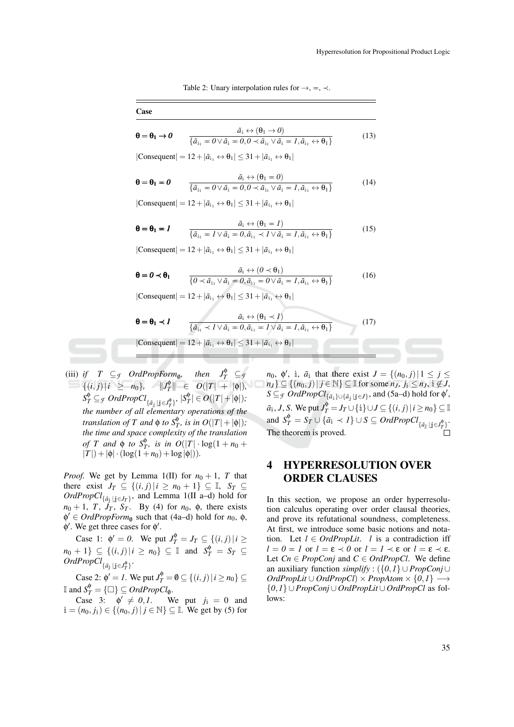Table 2: Unary interpolation rules for  $\rightarrow$ ,  $=$ ,  $\prec$ .

| Case                              |                                                                                                                                                                                                               |      |
|-----------------------------------|---------------------------------------------------------------------------------------------------------------------------------------------------------------------------------------------------------------|------|
| $\theta = \theta_1 \rightarrow 0$ | $\tilde{a}_i \leftrightarrow (\theta_1 \rightarrow 0)$<br>$\{\tilde{a}_{i_1} = 0 \vee \tilde{a}_{i_1} = 0, 0 \prec \tilde{a}_{i_1} \vee \tilde{a}_{i_1} = 1, \tilde{a}_{i_1} \leftrightarrow \theta_1\}$      | (13) |
|                                   | $ Consequent  = 12 +  \tilde{a}_{i_1} \leftrightarrow \theta_1  \leq 31 +  \tilde{a}_{i_1} \leftrightarrow \theta_1 $                                                                                         |      |
| $\theta = \theta_1 = 0$           | $\tilde{a}_i \leftrightarrow (\theta_1 = 0)$<br>$\{\tilde{a}_{i_1} = 0 \vee \tilde{a}_{i_1} = 0, 0 \prec \tilde{a}_{i_1} \vee \tilde{a}_{i_1} = 1, \tilde{a}_{i_1} \leftrightarrow \theta_1\}$                | (14) |
|                                   | $ Consequent  = 12 +  \tilde{a}_{i_1} \leftrightarrow \theta_1  \leq 31 +  \tilde{a}_{i_1} \leftrightarrow \theta_1 $                                                                                         |      |
| $\theta = \theta_1 = I$           | $\tilde{a}_{i} \leftrightarrow (\theta_{1} = 1)$<br>$\overline{\{\tilde{a}_{i_1} = I \vee \tilde{a}_{i_1} = 0, \tilde{a}_{i_1} \prec I \vee \tilde{a}_{i_1} = I, \tilde{a}_{i_1} \leftrightarrow \theta_1\}}$ | (15) |
|                                   | $ Consequent  = 12 +  \tilde{a}_{i_1} \leftrightarrow \theta_1  \leq 31 +  \tilde{a}_{i_1} \leftrightarrow \theta_1 $                                                                                         |      |
| $\theta = 0 \prec \theta_1$       | $\tilde{a}_i \leftrightarrow (0 \prec \theta_1)$<br>$\overline{\{0 \prec \tilde{a}_{i.} \vee \tilde{a}_{i} = 0, \tilde{a}_{i.} = 0 \vee \tilde{a}_{i} = 1, \tilde{a}_{i.} \leftrightarrow}} \theta_{1}\}$     | (16) |
|                                   | $ Consequent  = 12 +  \tilde{a}_{i_1} \leftrightarrow \theta_1  \leq 31 +  \tilde{a}_{i_1} \leftrightarrow \theta_1 $                                                                                         |      |
| $\theta = \theta_1 \prec I$       | $\tilde{a}_i \leftrightarrow (\theta_1 \prec I)$<br>$\{\tilde{a}_{i_1} \prec l \lor \tilde{a}_{i_1} = 0, \tilde{a}_{i_1} = l \lor \tilde{a}_{i_1} = l, \tilde{a}_{i_1} \leftrightarrow \theta_1\}$            | (17) |
|                                   | $ Consequent  = 12 +  \tilde{a}_{i_1} \leftrightarrow \theta_1  \leq 31 +  \tilde{a}_{i_1} \leftrightarrow \theta_1 $                                                                                         |      |

(iii) *if*  $T \subseteq \mathcal{F}$  *OrdPropForm*<sub>0</sub>, *,* then  $J_T^{\phi} \subseteq$  *f*  $\{(i, j) | i \geq n_0\}, \quad ||J_T^{\phi}$  $P_T^{\phi}$   $\in$  *O*(|*T*| +  $|\phi|$ )*,*  $S_T^{\phi} \subseteq_{\mathcal{F}} \mathit{OrdPropCl}_{\{\tilde{a}_j \mid j \in J_T^{\phi}\}}$ ,  $|S_T^{\phi}$  $\left| \frac{\phi}{T} \right| \in O(|T|+|\phi|);$ *the number of all elementary operations of the translation of*  $T$  *and*  $\phi$  *to*  $S_T^{\phi}$ *, is in*  $O(|T|+|\phi|)$ *; the time and space complexity of the translation of T* and  $\phi$  *to*  $S_T^{\phi}$ , *is in*  $O(|T| \cdot \log(1 + n_0 +$  $|T|$ ) +  $|\phi| \cdot (\log(1+n_0) + \log|\phi|)$ ).

*Proof.* We get by Lemma 1(II) for  $n_0 + 1$ , *T* that there exist  $J_T \subseteq \{(i, j) | i \geq n_0 + 1\} \subseteq \mathbb{I}, S_T \subseteq$  $OrdPropCl_{\{\tilde{a}_j | j \in J_T\}}$ , and Lemma 1(II a–d) hold for  $n_0 + 1$ , *T*,  $J_T$ ,  $S_T$ . By (4) for  $n_0$ ,  $\phi$ , there exists  $\phi' \in \text{OrdPropForm}_{\phi}$  such that (4a–d) hold for *n*<sub>0</sub>,  $\phi$ ,  $\phi'$ . We get three cases for  $\phi'$ .

Case 1:  $\phi' = 0$ . We put  $J_T^{\phi} = J_T \subseteq \{(i, j) | i \geq 1\}$  $n_0 + 1$ }  $\subseteq$   $\{(i, j) | i \ge n_0\}$   $\subseteq$  I and  $S_T^{\phi} = S_T$   $\subseteq$  $OrdPropCl_{\{\tilde{a}_\mathbf{j} \,|\, \mathbf{j} \in J_T^\Phi\}}.$ 

Case 2:  $\phi' = I$ . We put  $J_T^{\phi} = \emptyset \subseteq \{(i, j) | i \ge n_0\} \subseteq$ If and  $S_T^{\phi} = {\square} \subseteq \text{Ord}\text{PropCl}_0$ .

Case 3:  $\phi' \neq 0, 1$ . We put  $j_i = 0$  and  $i = (n_0, j_i) \in \{(n_0, j) | j \in \mathbb{N}\}$  ⊆ I. We get by (5) for

*n*<sub>0</sub>,  $\phi'$ , i,  $\tilde{a}_i$  that there exist  $J = \{(n_0, j) | 1 \le j \le n\}$ *n*<sub>J</sub>} ⊆ {( $n_0$ , *j*) | *j* ∈ <sup>N</sup>} ⊆ II for some  $n_J$ ,  $j_i$  ≤  $n_J$ ,  $i \notin J$ , *S* ⊆*F OrdPropCl*<sub>{ $\tilde{a}_i$ }∪{ $\tilde{a}_j | j \in J$ }, and (5a–d) hold for  $\phi'$ ,</sub>  $a_i, J, S$ . We put  $J_T^{\phi} = J_T \cup \{i\} \cup J \subseteq \{(i, j) | i \ge n_0\} \subseteq \mathbb{I}$ and  $S_T^{\phi} = S_T \cup {\{\tilde{a}_i \prec I\}} \cup S \subseteq OrdPropCl_{\{\tilde{a}_j \mid j \in J_T^{\phi}\}}.$ The theorem is proved.

## 4 HYPERRESOLUTION OVER ORDER CLAUSES

In this section, we propose an order hyperresolution calculus operating over order clausal theories, and prove its refutational soundness, completeness. At first, we introduce some basic notions and notation. Let  $l \in \text{OrdPropLit.}$  *l* is a contradiction iff  $l = 0 = l$  or  $l = \varepsilon \prec 0$  or  $l = l \prec \varepsilon$  or  $l = \varepsilon \prec \varepsilon$ . Let  $C_n \in PropConj$  and  $C \in OrdPropCl$ . We define an auxiliary function *simplify* : ({*0*,*1*} ∪ *PropConj* ∪  $OrdPropLit \cup OrdPropCl \times PropAtom \times \{0,1\} \longrightarrow$ {*0*,*1*} ∪*PropConj*∪ *OrdPropLit* ∪ *OrdPropCl* as follows: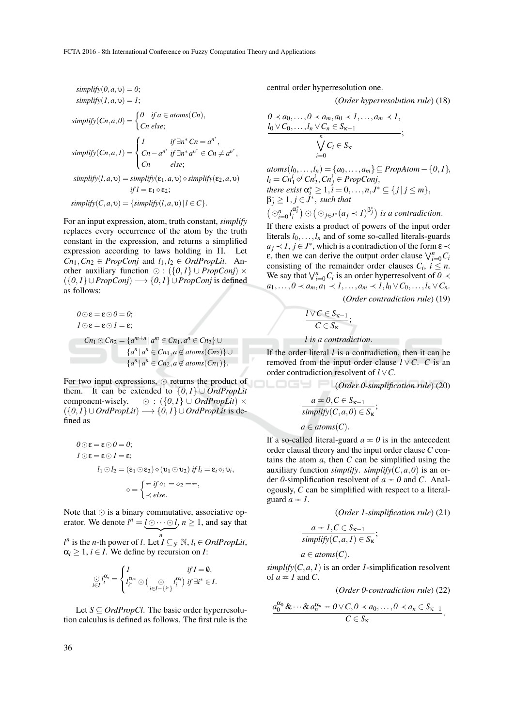$$
simplify(0, a, v) = 0;
$$
  
\n
$$
simplify(I, a, v) = 1;
$$
  
\n
$$
simplify(Cn, a, 0) = \begin{cases} 0 & \text{if } a \in atoms(Cn), \\ Cn \text{ else;} \end{cases}
$$
  
\n
$$
simplify(Cn, a, I) = \begin{cases} I & \text{if } \exists n^* Cn = a^{n^*}, \\ Cn - a^{n^*} \text{ if } \exists n^* a^{n^*} \in Cn \neq a^{n^*}, \\ Cn & \text{else;} \end{cases}
$$
  
\n
$$
simplify(I, a, v) = simplify(\epsilon_1, a, v) \diamond simplify(\epsilon_2, a, v)
$$
  
\n
$$
if I = \epsilon_1 \diamond \epsilon_2;
$$
  
\n
$$
simplify(C, a, v) = \{simplify(I, a, v) | I \in C\}.
$$

For an input expression, atom, truth constant, *simplify* replaces every occurrence of the atom by the truth constant in the expression, and returns a simplified expression according to laws holding in Π. Let  $Cn_1$ *, Cn*<sub>2</sub> ∈ *PropConj* and  $l_1$ *,* $l_2$  ∈ *OrdPropLit*. Another auxiliary function  $\odot$  : ({0,1}  $\cup$  *PropConj*)  $\times$  $({0,1}\cup PropConj) \longrightarrow {0,1}\cup PropConj$  is defined as follows:

$$
0 \odot \varepsilon = \varepsilon \odot 0 = 0;
$$
  
\n
$$
I \odot \varepsilon = \varepsilon \odot 1 = \varepsilon;
$$
  
\n
$$
Cn_1 \odot Cn_2 = \{a^{m+n} | a^m \in Cn_1, a^n \in Cn_2\} \cup
$$
  
\n
$$
\{a^n | a^n \in Cn_1, a \notin atoms(Cn_2)\} \cup
$$
  
\n
$$
\{a^n | a^n \in Cn_2, a \notin atoms(Cn_1)\}.
$$

For two input expressions,  $\odot$  returns the product of them. It can be extended to  $\{0,1\}$  ∪ *OrdPropLit* component-wisely.  $\odot$  :  $({0,1} \cup \text{Ord} PropLit) \times$  $({0,1} \cup OrdPropLit) \longrightarrow {0,1} \cup OrdPropLit$  is defined as

$$
0 \odot \varepsilon = \varepsilon \odot 0 = 0;
$$
  
\n
$$
I \odot \varepsilon = \varepsilon \odot 1 = \varepsilon;
$$
  
\n
$$
l_1 \odot l_2 = (\varepsilon_1 \odot \varepsilon_2) \diamond (\upsilon_1 \odot \upsilon_2) \text{ if } l_i = \varepsilon_i \diamond_i \upsilon_i,
$$
  
\n
$$
\diamond = \begin{cases} = if \diamond_1 = \diamond_2 = , \\ \prec else. \end{cases}
$$

Note that  $\odot$  is a binary commutative, associative operator. We denote  $l^n = \underbrace{l \odot \cdots \odot l}_{m}$ ,  $n \geq 1$ , and say that  $\overline{\phantom{a}}$ 

*l*<sup>*n*</sup> is the *n*-th power of *l*. Let  $I \subseteq$  *f* N, *l*<sub>*i*</sub> ∈ *OrdPropLit*,  $\alpha_i \geq 1$ ,  $i \in I$ . We define by recursion on *I*:

$$
\bigcirc_{i\in I} l_i^{\alpha_i} = \begin{cases} I & \text{if } I = 0, \\ l_i^{\alpha_{i^*}} \bigcirc \bigcirc_{i\in I - \{i^*\}} l_i^{\alpha_i} \big) & \text{if } \exists i^* \in I. \end{cases}
$$

Let  $S \subseteq \text{OrdPropCl}$ . The basic order hyperresolution calculus is defined as follows. The first rule is the central order hyperresolution one.

(*Order hyperresolution rule*) (18)

$$
0 \lt a_0, \ldots, 0 \lt a_m, a_0 \lt 1, \ldots, a_m \lt 1, \n\underbrace{l_0 \vee C_0, \ldots, l_n \vee C_n \in S_{\kappa-1}}_{n} ;\n\sqrt[n]{C_i \in S_{\kappa}};
$$

*atoms*(*l*<sub>0</sub>,...,*l*<sub>*n*</sub>) = { $a_0$ ,..., $a_m$ }⊆ *PropAtom* − {*0*, *l*},  $l_i = Cn_1^i \circ^i Cn_2^i, Cn_j^i \in PropConj,$ *there exist*  $\alpha_i^* \geq 1, i = 0, ..., n, J^* \subseteq \{j | j \leq m\},\$  $\beta_j^* \geq 1, j \in J^*$ , *such that*  $\left(\bigcirc_{i=0}^n l_i^{\alpha_i^*}\right) \odot \left(\bigcirc_{j\in J^*} (a_j \prec l)^{\beta_j^*}\right)$  *is a contradiction.* 

If there exists a product of powers of the input order literals  $l_0, \ldots, l_n$  and of some so-called literals-guards  $a_j \lt l$ ,  $j \in J^*$ , which is a contradiction of the form  $\varepsilon \lt$  $\epsilon$ , then we can derive the output order clause  $\bigvee_{i=0}^{n} C_i$ consisting of the remainder order clauses  $C_i$ ,  $i \leq n$ . We say that  $\bigvee_{i=0}^{n} C_i$  is an order hyperresolvent of  $0 \leq$ *a*<sub>1</sub>*,...,0* ≺ *a*<sub>*m*</sub>*,a*<sub>1</sub> ≺ *I,...,a*<sub>*m*</sub> ≺ *I,l*<sub>0</sub> ∨ *C*<sub>0</sub>*,...,l*<sub>*n*</sub> ∨ *C*<sub>*n*</sub>.

(*Order contradiction rule*) (19)

$$
\frac{l\vee C\in S_{\kappa-1}}{C\in S_{\kappa}};
$$

*l is a contradiction*.

If the order literal *l* is a contradiction, then it can be removed from the input order clause  $l \vee C$ . *C* is an order contradiction resolvent of *l* ∨*C*.

(*Order 0-simplification rule*) (20)

$$
a = 0, C \in S_{\kappa - 1}
$$
  
 
$$
\overline{simplify}(C, a, 0) \in S_{\kappa};
$$
  
 
$$
a \in atoms(C).
$$

If a so-called literal-guard  $a = 0$  is in the antecedent order clausal theory and the input order clause *C* contains the atom *a*, then *C* can be simplified using the auxiliary function *simplify*. *simplify*( $C$ ,  $a$ ,  $0$ ) is an order 0-simplification resolvent of  $a = 0$  and *C*. Analogously, *C* can be simplified with respect to a literalguard  $a = 1$ .

(*Order 1-simplification rule*) (21)

$$
\frac{a=1, C\in S_{\kappa-1}}{\text{simply}(C, a, I)\in S_{\kappa}};
$$

$$
a \in atoms(C).
$$

*simplify*( $C$ ,  $a$ ,  $I$ ) is an order  $I$ -simplification resolvent of  $a = 1$  and *C*.

(*Order 0-contradiction rule*) (22)

$$
\frac{a_0^{\alpha_0} \& \cdots \& a_n^{\alpha_n} = 0 \vee C, 0 \prec a_0, \ldots, 0 \prec a_n \in S_{\kappa-1}}{C \in S_{\kappa}}.
$$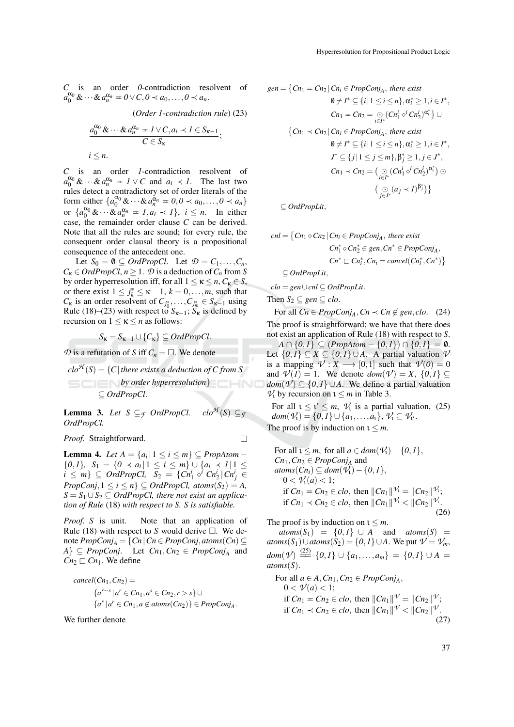*C* is an order *0*-contradiction resolvent of  $a_0^{\alpha_0}$  &  $\cdots$  &  $a_n^{\alpha_n} = 0 \vee C, 0 \prec a_0, \ldots, 0 \prec a_n$ .

(*Order 1-contradiction rule*) (23)

$$
a_0^{\alpha_0} \& \cdots \& a_n^{\alpha_n} = I \vee C, a_i \prec I \in S_{\kappa-1} ;
$$
  

$$
C \in S_{\kappa} ;
$$
  

$$
i \leq n.
$$

*C* is an order *1*-contradiction resolvent of *a*  $\alpha_0^{\alpha_0}$  &  $\cdots$  &  $a_n^{\alpha_n} = I \vee C$  and  $a_i \prec I$ . The last two rules detect a contradictory set of order literals of the form either  $\{a_0^{\alpha_0} \& \cdots \& a_n^{\alpha_n} = 0, 0 \prec a_0, \ldots, 0 \prec a_n\}$ or  $\{a_0^{\alpha_0} \& \cdots \& a_n^{\alpha_n} = 1, a_i \prec 1\}, i \leq n$ . In either case, the remainder order clause *C* can be derived. Note that all the rules are sound; for every rule, the consequent order clausal theory is a propositional consequence of the antecedent one.

Let  $S_0 = \emptyset \subseteq \text{OrdPropCl.}$  Let  $\mathcal{D} = C_1, \ldots, C_n$ ,  $C_{\kappa} \in OrdPropCl, n \geq 1$ .  $\mathcal{D}$  is a deduction of  $C_n$  from *S* by order hyperresolution iff, for all  $1 \le \kappa \le n$ ,  $C_{\kappa} \in S$ , or there exist  $1 \le j_k^* \le \kappa - 1$ ,  $k = 0, \ldots, m$ , such that  $C_{\mathbf{k}}$  is an order resolvent of  $C_{j_0^*}, \ldots, C_{j_m^*} \in S_{\mathbf{k}-1}$  using Rule (18)–(23) with respect to  $S_{\kappa-1}$ ;  $S_{\kappa}$  is defined by recursion on  $1 \leq \kappa \leq n$  as follows:

 $S_{\kappa} = S_{\kappa-1} \cup \{C_{\kappa}\} \subseteq \text{OrdPropCl}.$ 

 $\mathcal{D}$  is a refutation of *S* iff  $C_n = \Box$ . We denote

 $clo^{\mathcal{H}}(S) = \{C |$  there exists a deduction of C from S *by order hyperresolution*} HNC ⊆ *OrdPropCl*.

**Lemma 3.** Let  $S \subseteq \mathcal{F}$  *OrdPropCl.* clo<sup> $\mathcal{H}(S) \subseteq \mathcal{F}$ </sup> *OrdPropCl.*

*Proof.* Straightforward.

 $\Box$ 

**Lemma 4.** *Let*  $A = \{a_i | 1 \le i \le m\}$  ⊆ *PropAtom* −  ${0, 1}$ *,*  $S_1 = {0 \prec a_i | 1 \le i \le m}$  ∪  ${a_i \prec 1 | 1 \le m}$  $i \leq m$   $\subseteq$  *OrdPropCl,*  $S_2 = \{Cn_1^i \circ \overrightarrow{i} Cn_2^i | Cn_j^i \in$  $PropConj, 1 \leq i \leq n$   $\subseteq OrdPropCl, atoms(S_2) = A$ ,  $S = S_1 \cup S_2 \subseteq OrdPropCl$ , there not exist an applica*tion of Rule* (18) *with respect to S. S is satisfiable.*

*Proof. S* is unit. Note that an application of Rule (18) with respect to *S* would derive  $\Box$ . We denote *PropConj<sup>A</sup>* = {*Cn*|*Cn* ∈ *PropConj*,*atoms*(*Cn*) ⊆  $A$ <sup>2</sup>  $\subseteq$  *PropConj*. Let  $Cn_1, Cn_2 \in PropConj_A$  and  $Cn_2 \sqsubset Cn_1$ . We define

$$
cancel(Cn_1, Cn_2) =
$$
  
\n
$$
\{a^{r-s} | a^r \in Cn_1, a^s \in Cn_2, r > s\} \cup
$$
  
\n
$$
\{a^r | a^r \in Cn_1, a \notin atoms(Cn_2)\} \in PropConj_A.
$$

We further denote

$$
gen = \left\{ Cn_1 = Cn_2 \mid Cn_i \in PropConj_A, \text{ there exist } \right.
$$
  
\n
$$
0 \neq I^* \subseteq \{i \mid 1 \leq i \leq n\}, \alpha_i^* \geq 1, i \in I^*,
$$
  
\n
$$
Cn_1 = Cn_2 = \bigcirc_{i \in I^*} (Cn_1^i \diamond^{i} Cn_2^i)^{\alpha_i^*} \bigcup
$$
  
\n
$$
\left\{ Cn_1 \prec Cn_2 \mid Cn_i \in PropConj_A, \text{ there exist } 0 \neq I^* \subseteq \{i \mid 1 \leq i \leq n\}, \alpha_i^* \geq 1, i \in I^*,
$$
  
\n
$$
J^* \subseteq \{j \mid 1 \leq j \leq m\}, \beta_j^* \geq 1, j \in J^*,
$$
  
\n
$$
Cn_1 \prec Cn_2 = \bigcirc_{i \in I^*} (Cn_1^i \diamond^{i} Cn_2^i)^{\alpha_i^*} \bigcirc
$$
  
\n
$$
\bigcirc_{j \in J^*} (a_j \prec I)^{\beta_j^*} \bigg\}
$$

⊆ *OrdPropLit*,

$$
cnl = \{Cn_1 \diamond Cn_2 | Cn_i \in PropConj_A, \text{ there exist} \newline Cn_1^* \diamond Cn_2^* \in gen, Cn^* \in PropConj_A, \newline Cn^* \sqsubset Cn_i^*, Cn_i = cancel(Cn_i^*, Cn^*) \}
$$

⊆ *OrdPropLit*,

*clo* = *gen*∪*cnl* ⊆ *OrdPropLit*.

Then  $S_2 \subseteq \text{gen} \subseteq \text{clo}.$ 

*For all Cn* ∈ *PropConj*<sub>*A*</sub>, *Cn*  $\prec$  *Cn* ∉ *gen*, *clo*. (24) The proof is straightforward; we have that there does

not exist an application of Rule (18) with respect to *S*. *A* ∩ {*0*, *I*} ⊆ (*PropAtom* − {*0*, *I*}) ∩ {*0*, *I*} = 0.

Let  $\{0,1\}$  ⊆ *X* ⊆  $\{0,1\}$  ∪ *A*. A partial valuation *V* is a mapping  $V: X \longrightarrow [0,1]$  such that  $V(0) = 0$ and  $V(I) = 1$ . We denote  $dom(V) = X$ ,  $\{0, 1\} \subseteq$ *dom*( $\mathcal{V}$ ) ⊆ {0, *I*} ∪ *A*. We define a partial valuation  $V_1$  by recursion on  $1 \leq m$  in Table 3.

For all  $1 \leq i' \leq m$ ,  $V_1$  is a partial valuation, (25) *dom*( $V_1$ ) = {0, *I*}  $\cup$  {*a*<sub>1</sub>,...,*a*<sub>1</sub>},  $V_1 \subseteq V_1$ .

The proof is by induction on  $1 \leq m$ .

For all  $1 \leq m$ , for all  $a \in dom(\mathcal{V}_1) - \{0, 1\}$ ,  $Cn_1, Cn_2 \in PropConj_A$  and  $atoms(Cn_i) \subseteq dom(\mathcal{V}_i) - \{0,1\},$  $0 < \mathcal{V}_1(a) < 1;$ if  $Cn_1 = Cn_2 \in clo$ , then  $||Cn_1||^{\mathcal{V}_1} = ||Cn_2||^{\mathcal{V}_1}$ ; if  $Cn_1 \prec Cn_2 \in clo$ , then  $||Cn_1||^{V_1} < ||Cn_2||^{V_1}$ . (26)

The proof is by induction on  $1 \leq m$ .

 $atoms(S_1) = \{0, 1\} \cup A$  and  $atoms(S)$  = *atoms*(*S*<sub>1</sub>)∪*atoms*(*S*<sub>2</sub>) = {*0*, *I*}∪*A*. We put  $\mathcal{V} = \mathcal{V}_m$ ,  $dom(\mathcal{V}) \stackrel{(25)}{=} \{0,1\} \cup \{a_1,\ldots,a_m\} = \{0,1\} \cup A =$ *atoms*(*S*).

For all  $a \in A$ ,  $Cn_1$ ,  $Cn_2 \in PropConj_A$ ,  $0 < \mathcal{V}(a) < 1;$ if  $Cn_1 = Cn_2 \in clo$ , then  $||Cn_1||^{\mathcal{V}} = ||Cn_2||^{\mathcal{V}}$ ; if  $Cn_1 \prec Cn_2 \in clo$ , then  $||Cn_1||^{V} < ||Cn_2||^{V}$ . (27)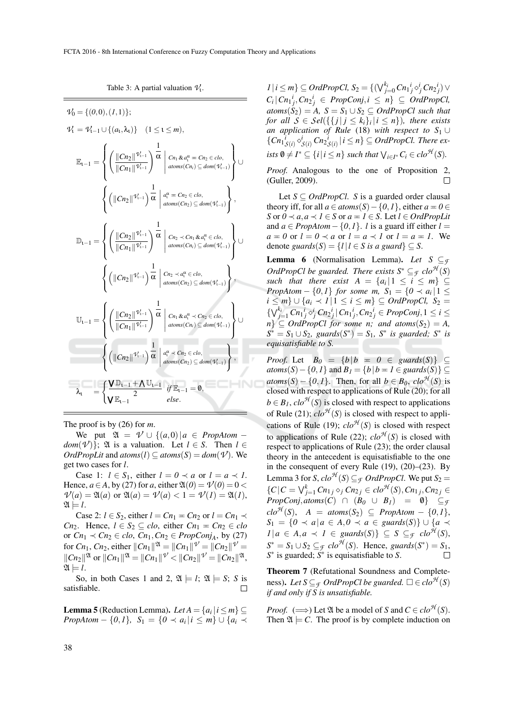$$
\mathcal{V}_{0} = \{ (0,0), (1,1) \};
$$
\n
$$
\mathcal{V}_{1} = \mathcal{V}_{1-1} \cup \{ (a_{1}, \lambda_{1}) \} \quad (1 \leq t \leq m),
$$
\n
$$
\mathbb{E}_{t-1} = \left\{ \left( \frac{\|Cn_{2}\|^{q_{t-1}}}{\|Cn_{1}\|^{q_{t-1}}}\right)^{\frac{1}{\alpha}} \left| \lim_{\text{atoms}(Cn_{i}) \leq \text{dom}(\mathcal{V}_{t-1})} \right| \cup \left( \frac{\|Cn_{2}\|^{q_{t-1}}}{\|Cn_{2}\|^{q_{t-1}}}\right)^{\frac{1}{\alpha}} \left| \lim_{\text{atoms}(Cn_{i}) \leq \text{dom}(\mathcal{V}_{t-1})} \right) \cup \left( \left( \frac{\|Cn_{2}\|^{q_{t-1}}}{\|Cn_{2}\|^{q_{t-1}}}\right)^{\frac{1}{\alpha}} \left| \lim_{\text{atoms}(Cn_{2}) \leq \text{dom}(\mathcal{V}_{t-1})} \right| \right),
$$
\n
$$
\mathbb{D}_{t-1} = \left\{ \left( \frac{\|Cn_{2}\|^{q_{t-1}}}{\|Cn_{1}\|^{q_{t-1}}}\right)^{\frac{1}{\alpha}} \left| \lim_{\text{atoms}(Cn_{i}) \leq \text{dom}(\mathcal{V}_{t-1})} \right| \right\} \cup \left\{ \left( \frac{\|Cn_{2}\|^{q_{t-1}}}{\|Cn_{1}\|^{q_{t-1}}}\right)^{\frac{1}{\alpha}} \left| \lim_{\text{atoms}(Cn_{i}) \leq \text{dom}(\mathcal{V}_{t-1})} \right| \right\},
$$
\n
$$
\mathbb{U}_{t-1} = \left\{ \left( \frac{\|Cn_{2}\|^{q_{t-1}}}{\|Cn_{1}\|^{q_{t-1}}}\right)^{\frac{1}{\alpha}} \left| \lim_{\text{atoms}(Cn_{i}) \leq \text{dom}(\mathcal{V}_{t-1})} \right| \right\},
$$
\n
$$
\lambda_{t} = \left\{ \frac{\left( \frac{\|Cn_{2}\|^{q_{t-1}}}{\|Cn_{1}\|^{q_{t-1}}}\right)^{\frac{1}{\alpha}} \left
$$

Table 3: A partial valuation  $\mathcal{V}_1$ .

The proof is by (26) for *m*.

We put  $\mathfrak{A} = \mathcal{V} \cup \{(a,0) | a \in \text{PropAtom} - \}$ *dom*( $V$ )};  $\mathfrak A$  is a valuation. Let  $l \in S$ . Then  $l \in$  $OrdPropLit$  and  $atoms(l) \subseteq atoms(S) = dom(V)$ . We get two cases for *l*.

Case 1:  $l \in S_1$ , either  $l = 0 \prec a$  or  $l = a \prec l$ . Hence,  $a \in A$ , by (27) for a, either  $\mathfrak{A}(0) = \mathcal{V}(0) = 0$  $V(a) = \mathfrak{A}(a)$  or  $\mathfrak{A}(a) = V(a) < 1 = V(1) = \mathfrak{A}(1)$ ,  $\mathfrak{A} \models l.$ 

Case 2:  $l \in S_2$ , either  $l = Cn_1 = Cn_2$  or  $l = Cn_1 \prec$ *Cn*<sub>2</sub>. Hence,  $l \in S_2 \subseteq clo$ , either  $Cn_1 = Cn_2 \in clo$ or  $Cn_1 \prec Cn_2 \in clo$ ,  $Cn_1$ ,  $Cn_2 \in PropConj_A$ , by (27) for  $Cn_1$ ,  $Cn_2$ , either  $||Cn_1||^{\mathfrak{A}} = ||Cn_1||^{\mathfrak{V}} = ||Cn_2||^{\mathfrak{V}} =$  $\|Cn_2\|^{\mathfrak{A}}$  or  $\|Cn_1\|^{\mathfrak{A}} = \|Cn_1\|^{\mathfrak{A}} < \|Cn_2\|^{\mathfrak{A}} = \|Cn_2\|^{\mathfrak{A}},$  $\mathfrak{A} \models l.$ 

So, in both Cases 1 and 2,  $\mathfrak{A} \models l$ ;  $\mathfrak{A} \models S$ ; *S* is is fiable. satisfiable.

**Lemma 5** (Reduction Lemma). Let  $A = \{a_i | i \le m\} \subseteq$ *PropAtom* − {*0,1*}*,*  $S_1 = \{0 \prec a_i | i \leq m\}$  ∪ { $a_i \prec$ 

*1* | *i* ≤ *m*} ⊆ *OrdPropCl*,  $S_2 = \{ (\bigvee_{j=0}^{k_i} C_{i,j} \circ i_j^i C_{i,j} \} \vee$  $C_i | Cn_1^i$ ,  $Cn_2^i$  ∈ *PropConj*,  $i \leq n$ } ⊆ *OrdPropCl*,  $atoms(S_2) = A$ ,  $S = S_1 \cup S_2 \subseteq OrdPropCl$  such that *for all*  $S \in Sel(\{\{j \mid j \leq k_i\}_i \mid i \leq n\})$ *, there exists an application of Rule* (18) *with respect to S*<sup>1</sup> ∪  ${Cn_1}_{S(i)}^i \circ^i_{S(i)} Cn_2^i_{S(i)} | i \leq n} \subseteq OrdPropCl$ . There ex $i$ *sts*  $\emptyset \neq I^* \subseteq \{i \mid i \leq n\}$  *such that*  $\bigvee_{i \in I^*} C_i \in clo^{\mathcal{H}}(S)$ *.* 

*Proof.* Analogous to the one of Proposition 2, (Guller, 2009). П

Let  $S \subseteq \text{OrdPropCl.}$  *S* is a guarded order clausal theory iff, for all  $a \in atoms(S) - \{0, 1\}$ , either  $a = 0 \in$ *S* or  $0 \prec a, a \prec l \in S$  or  $a = l \in S$ . Let  $l \in OrdPopLit$ and  $a \in \text{PropAtom} - \{0, 1\}$ . *l* is a guard iff either  $l =$  $a \equiv 0$  or  $l = 0 \prec a$  or  $l = a \prec l$  or  $l = a \equiv 1$ . We denote *guards*(*S*) = {*l* | *l*  $\in$  *S is a guard*}  $\subseteq$  *S*.

**Lemma 6** (Normalisation Lemma). Let  $S \subseteq \mathcal{F}$ *OrdPropCl be guarded. There exists*  $S^* \subseteq$ *f clo*<sup>*H*</sup>(*S*) *such that there exist*  $A = \{a_i | 1 \le i \le m\} \subseteq$ *PropAtom* –  $\{0,1\}$  *for some m,*  $S_1 = \{0 \prec a_i | 1 \leq$ *i* ≤ *m*}  $\cup$  {*a<sub>i</sub>*  $\prec$  *1* | 1 ≤ *i* ≤ *m*} ⊆ *OrdPropCl, S*<sub>2</sub> =  $\{\bigvee_{j=1}^{k_i} Cn_1i \circ j \circ j \cap n_2i \} | Cn_1i \circ j \circ n_2i \in PropConj, 1 \leq i \leq j$  $n$ <sup>2</sup>  $\subseteq$  *OrdPropCl for some n; and atoms*( $S_2$ ) = *A*,  $S^* = S_1 \cup S_2$ , guards $(S^*) = S_1$ ,  $S^*$  is guarded;  $S^*$  is *equisatisfiable to S.*

*Proof.* Let  $B_0 = \{b \mid b = 0 \in \text{guards}(S)\} \subseteq$  $atoms(S) - \{0, 1\}$  and  $B_1 = \{b \mid b = 1 \in \text{guards}(S)\}$ *atoms*(*S*) – {*0,1*}. Then, for all  $b \in B_0$ ,  $clo^{\mathcal{H}}(S)$  is closed with respect to applications of Rule (20); for all  $b \in B_1$ ,  $clo^{\mathcal{H}}(S)$  is closed with respect to applications of Rule (21);  $clo^{\mathcal{H}}(S)$  is closed with respect to applications of Rule (19);  $clo^{\mathcal{H}}(S)$  is closed with respect to applications of Rule (22);  $clo^{\mathcal{H}}(S)$  is closed with respect to applications of Rule (23); the order clausal theory in the antecedent is equisatisfiable to the one in the consequent of every Rule (19), (20)–(23). By Lemma 3 for *S*,  $clo^{\mathcal{H}}(S) \subseteq_{\mathcal{F}} OrdPropCl$ . We put  $S_2 =$ { $C | C = √_{j=1}^k Cn_{1j} ∘_j Cn_{2j} ∈ clo^{H}(S), Cn_{1j}, Cn_{2j} ∈$  $PropConj, atoms(C) \cap (B_0 \cup B_1) = \emptyset$   $\subseteq$  *J*  $\text{clo}^{\mathcal{H}}(S)$ ,  $A = \text{atoms}(S_2) \subseteq \text{PropAtom} - \{0,1\},\$ *S*<sub>1</sub> = { $0 \prec a | a \in A, 0 \prec a \in \text{quards}(S)$ } ∪ { $a \prec$ *I* | *a* ∈ *A*,*a* ≺ *I* ∈ *guards*(*S*)} ⊆ *S* ⊆*F clo*<sup>*H*</sup>(*S*),  $S^* = S_1 \cup S_2 \subseteq$  *f*  $clo^{\mathcal{H}}(S)$ . Hence, *guards*( $S^*$ ) =  $S_1$ . *S* ∗ is guarded; *S* ∗ is equisatisfiable to *S*.

Theorem 7 (Refutational Soundness and Completeness). Let  $S \subseteq_{\mathcal{F}} \text{OrdPropCl}$  be guarded.  $\square \in \text{clo}^{\mathcal{H}}(S)$ *if and only if S is unsatisfiable.*

*Proof.* ( $\Longrightarrow$ ) Let  $\mathfrak A$  be a model of *S* and  $C \in clo^{\mathcal H}(S)$ . Then  $\mathfrak{A} \models C$ . The proof is by complete induction on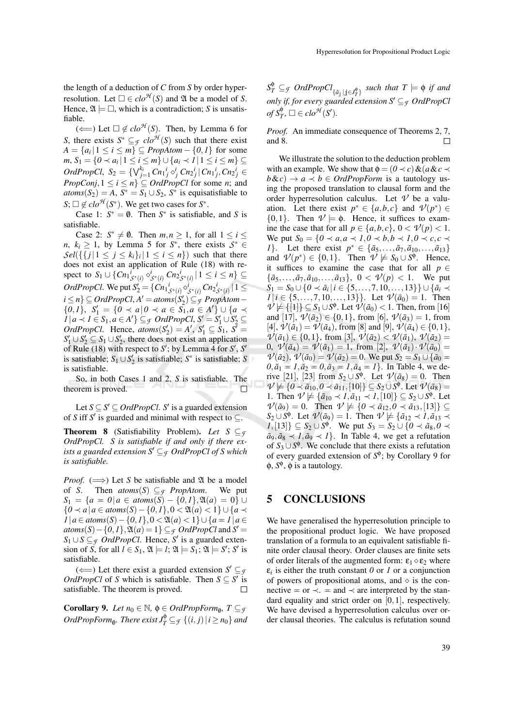the length of a deduction of *C* from *S* by order hyperresolution. Let  $\Box \in clo^{\mathcal{H}}(S)$  and  $\mathfrak A$  be a model of *S*. Hence,  $\mathfrak{A} \models \Box$ , which is a contradiction; *S* is unsatisfiable.

( $\Longleftarrow$ ) Let  $□ \notin clo^{A}(S)$ . Then, by Lemma 6 for *S*, there exists  $S^* \subseteq$   $\mathcal{F}$  *clo*<sup> $\mathcal{H}$ </sup> (*S*) such that there exist  $A = \{a_i | 1 \le i \le m\} \subseteq \text{PropAtom} - \{0, 1\}$  for some *m*, *S*<sub>1</sub> = { $0$  ≺  $a_i | 1 \le i \le m$ } ∪ { $a_i$  ≺  $1 | 1 \le i \le m$ } ⊆ *OrdPropCl*,  $S_2 = \{ \bigvee_{j=1}^{k_i} C n_1 i_j \circ j_j C n_2 i_j | C n_1 i_j, C n_2 i_j \in$ *PropConj*,  $1 \le i \le n$ }  $\subseteq$  *OrdPropCl* for some *n*; and  $atoms(S_2) = A, S^* = S_1 \cup S_2, S^*$  is equisatisfiable to  $S$ ;  $\Box \notin clo^{\mathcal{H}}(S^*)$ . We get two cases for  $S^*$ .

Case 1:  $S^* = \emptyset$ . Then  $S^*$  is satisfiable, and *S* is satisfiable.

Case 2:  $S^* \neq \emptyset$ . Then  $m, n \geq 1$ , for all  $1 \leq i \leq$ *n*,  $k_i \geq 1$ , by Lemma 5 for *S*<sup>\*</sup>, there exists  $S^* \in$  $\mathcal{S}el({\{\{j | 1 \leq j \leq k_i\}_i | 1 \leq i \leq n\}})$  such that there does not exist an application of Rule (18) with respect to  $S_1 \cup \{ Cn_1 \nvert_{S^*(i)}^i \circ^i_{S^*(i)} Cn_2 \nvert_{S^*(i)} | 1 \le i \le n \} \subseteq$ *OrdPropCl*. We put  $S'_2 = \{Cn_1{}^i_{\mathcal{S}^*(i)} \diamond^i_{\mathcal{S}^*(i)} Cn_2{}^i_{\mathcal{S}^*(i)} \, | \, 1 \leq i \leq j \}$  $i \le n$ <sup>}</sup> ⊆ *OrdPropCl*,  $A' = atoms(S'_2)$  ⊆ *F PropAtom* −  $\{0,1\}, S'_1 = \{0 \prec a | 0 \prec a \in S_1, a \in A'\} \cup \{a \prec a \in S_1, a \in S_1\}$ *1* |  $a \prec I \in S_1, a \in A'$ } ⊆*F OrdPropCl*,  $S' = S'_1 \cup S'_2$  ⊆ *OrdPropCl.* Hence,  $atoms(S'_2) = A'$ ,  $S'_1 \subseteq S_1$ ,  $S' = S'_2$  $S_1' \cup S_2' \subseteq S_1 \cup S_2'$ , there does not exist an application of Rule (18) with respect to  $S'$ ; by Lemma 4 for  $S'$ ,  $S'$ is satisfiable;  $S_1 \cup S_2'$  is satisfiable;  $S^*$  is satisfiable; S is satisfiable.

So, in both Cases 1 and 2, *S* is satisfiable. The theorem is proved. □

Let  $S \subseteq S' \subseteq OrdPropCl$ . *S'* is a guarded extension of *S* iff *S*<sup> $\prime$ </sup> is guarded and minimal with respect to  $\subseteq$ .

**Theorem 8** (Satisfiability Problem). Let  $S \subseteq \mathcal{F}$ *OrdPropCl. S is satisfiable if and only if there exists a guarded extension*  $S' \subseteq \mathcal{F}$  *OrdPropCl of S which is satisfiable.*

*Proof.* ( $\implies$ ) Let *S* be satisfiable and 2*l* be a model of *S*. Then *atoms(S)*  $\subset \tau$  *PropAtom.* We put of *S*. Then  $atoms(S) \subseteq$ *f PropAtom*. *S*<sub>1</sub> = {*a* = *0*|*a* ∈ *atoms*(*S*) – {*0*,*1*}, $\mathfrak{A}(a) = 0$ } ∪ {*0* ≺ *a*|*a* ∈ *atoms*(*S*)− {*0*,*1*},0 < A(*a*) < 1} ∪ {*a* ≺ *1* |  $a \in atoms(S) - \{0, 1\}, 0 < \mathfrak{A}(a) < 1\} \cup \{a = 1 | a \in A\}$ *atoms*(*S*) − {0,*1*}, $\mathfrak{A}(a) = 1$ } ⊆*F OrdPropCl* and *S'* = *S*<sub>1</sub> ∪ *S* ⊆ *f OrdPropCl*. Hence, *S*<sup>'</sup> is a guarded extension of *S*, for all  $l \in S_1$ ,  $\mathfrak{A} \models l$ ;  $\mathfrak{A} \models S_1$ ;  $\mathfrak{A} \models S'$ ; *S'* is satisfiable.

 $(\Leftarrow)$  Let there exist a guarded extension  $S' \subseteq g$ *OrdPropCl* of *S* which is satisfiable. Then  $S \subseteq S'$  is satisfiable. The theorem is proved.  $\Box$ 

**Corollary 9.** *Let*  $n_0 \in \mathbb{N}$ ,  $\phi \in \text{OrdPropForm}_{\emptyset}$ ,  $T \subseteq \mathcal{F}$  $OrdPropForm_{\emptyset}$ . There exist  $J_T^{\emptyset} \subseteq_{\mathcal{F}} \{ (i,j) \mid i \geq n_0 \}$  and

 $S_T^{\phi} \subseteq_{\mathcal{F}} \mathit{OrdPropCl}_{\{\tilde{a}_{\tilde{j}}\mid \tilde{j}\in J_T^{\phi}\}}$  such that  $T \models \phi$  *if and only if, for every guarded extension*  $S' \subseteq \mathcal{F}$  *OrdPropCl*  $of S_T^{\phi}, \Box \in clo^{\mathcal{H}}(S').$ 

*Proof.* An immediate consequence of Theorems 2, 7, and 8.  $\Box$ 

We illustrate the solution to the deduction problem with an example. We show that  $\phi = (0 \prec c) \& (a \& c \prec$  $b \& c$ )  $\rightarrow a \prec b \in \text{Ord}$ PropForm is a tautology using the proposed translation to clausal form and the order hyperresolution calculus. Let  $\nu$  be a valuation. Let there exist  $p^* \in \{a, b, c\}$  and  $\mathcal{V}(p^*) \in$  $\{0,1\}$ . Then  $\nu \models \phi$ . Hence, it suffices to examine the case that for all  $p \in \{a, b, c\}$ ,  $0 < \mathcal{V}(p) < 1$ . We put  $S_0 = \{0 \prec a, a \prec 1, 0 \prec b, b \prec 1, 0 \prec c, c \prec$ *1*}. Let there exist  $p^* \in {\{\tilde{a}_5, ..., \tilde{a}_7, \tilde{a}_{10}, ..., \tilde{a}_{13}\}}$ and  $\mathcal{V}(p^*) \in \{0,1\}$ . Then  $\mathcal{V} \not\models S_0 \cup S^{\phi}$ . Hence, it suffices to examine the case that for all  $p \in$  ${\{\tilde{a}_5, ..., \tilde{a}_7, \tilde{a}_{10}, ..., \tilde{a}_{13}\}, 0 < \mathcal{V}(p) < 1$ . We put *S*<sub>1</sub> = *S*<sub>0</sub> ∪ {*0* ≺  $\tilde{a}_i$  | *i* ∈ {5,...,7,10,...,13}} ∪ { $\tilde{a}_i$  ≺ *1*|*i* ∈ {5,...,7,10,...,13}}. Let  $\mathcal{V}(\tilde{a}_0) = 1$ . Then  $\nu \not\models {\{1\}} \subseteq S_1 \cup S^{\phi}$ . Let  $\nu(\tilde{a}_0) < 1$ . Then, from [16] and [17],  $\mathcal{V}(\tilde{a}_2) \in \{0, 1\}$ , from [6],  $\mathcal{V}(\tilde{a}_3) = 1$ , from  $[4], \mathcal{V}(\tilde{a}_1) = \mathcal{V}(\tilde{a}_4),$  from [8] and [9],  $\mathcal{V}(\tilde{a}_4) \in \{0,1\},$ *V*( $\tilde{a}_1$ ) ∈ {0,1}, from [3],  $\tilde{\nu}(\tilde{a}_2) < \tilde{\nu}(\tilde{a}_1)$ ,  $\tilde{\nu}(\tilde{a}_2) =$ 0,  $\mathcal{V}(\tilde{a}_4) = \mathcal{V}(\tilde{a}_1) = 1$ , from [2],  $\mathcal{V}(\tilde{a}_1) \cdot \mathcal{V}(\tilde{a}_0) =$ *V*( $\tilde{a}_2$ ), *V*( $\tilde{a}_0$ ) = *V*( $\tilde{a}_2$ ) = 0. We put *S*<sub>2</sub> = *S*<sub>1</sub> ∪ { $\tilde{a}_0$  =  $0, \tilde{a}_1 = 1, \tilde{a}_2 = 0, \tilde{a}_3 = 1, \tilde{a}_4 = 1$ . In Table 4, we derive [21], [23] from  $S_2 \cup S^{\phi}$ . Let  $V(\tilde{a}_8) = 0$ . Then  $\nu \not\models \{0 \prec \tilde{a}_{10}, 0 \prec \tilde{a}_{11}, [10]\} \subseteq S_2 \cup S^{\phi}$ . Let  $\nu(\tilde{a}_8) =$ 1. Then  $\mathcal{V} \not\models {\overline{a}}_{10} \prec 1, {\overline{a}}_{11} \prec 1, [10] \subseteq S_2 \cup S^{\phi}$ . Let  $\mathcal{V}(\tilde{a}_9) = 0$ . Then  $\mathcal{V} \not\models \{0 \prec \tilde{a}_{12}, 0 \prec \tilde{a}_{13}, [13]\} \subseteq$  $S_2 \cup S^{\phi}$ . Let  $V(\tilde{a}_9) = 1$ . Then  $V \not\models {\tilde{a}}_{12} \prec I, \tilde{a}_{13} \prec$ *1*,[13]} ⊆ *S*<sub>2</sub> ∪ *S*<sup> $\phi$ </sup>. We put *S*<sub>3</sub> = *S*<sub>2</sub> ∪ {*0* ≺  $\tilde{a}_8$ , *0* ≺  $a_9, a_8 \lt 1, a_9 \lt 1$ . In Table 4, we get a refutation of  $S_3 \cup S^{\phi}$ . We conclude that there exists a refutation of every guarded extension of  $S^{\phi}$ ; by Corollary 9 for  $\phi$ ,  $S^{\phi}$ ,  $\phi$  is a tautology.

#### 5 CONCLUSIONS

We have generalised the hyperresolution principle to the propositional product logic. We have proposed translation of a formula to an equivalent satisfiable finite order clausal theory. Order clauses are finite sets of order literals of the augmented form:  $\epsilon_1 \diamond \epsilon_2$  where  $\varepsilon_i$  is either the truth constant  $\theta$  or  $I$  or a conjunction of powers of propositional atoms, and  $\diamond$  is the connective  $=$  or  $\prec$ .  $=$  and  $\prec$  are interpreted by the standard equality and strict order on [0,1], respectively. We have devised a hyperresolution calculus over order clausal theories. The calculus is refutation sound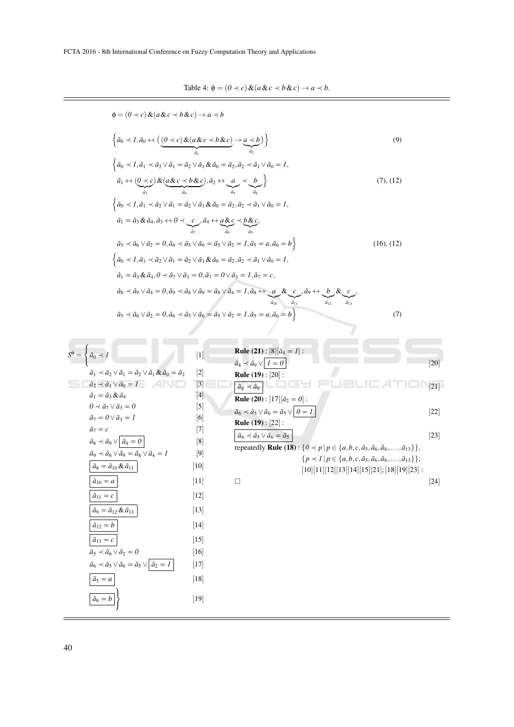Table 4:  $\phi = (0 \prec c) \& (a \& c \prec b \& c) \rightarrow a \prec b.$ 

$$
\Phi = (0 \prec c) \& (a \& c \prec b \& c) \rightarrow a \prec b
$$
\n
$$
\left\{ \frac{\partial_0 \prec 1}{\partial_0} \frac{\partial_0 \prec 0}{\partial_0} \& \frac{\partial_0 \prec 0}{\partial_0} \frac{\partial_0 \prec 0}{\partial_0} \& \frac{\partial_0 \prec 0}{\partial_0} \right\} \right\}
$$
\n(9)\n
$$
\left\{ \frac{\partial_0 \prec 1}{\partial_0} \frac{\partial_0 \prec 0}{\partial_0} \& \frac{\partial_0 \prec 0}{\partial_0} \& \frac{\partial_0 \prec 0}{\partial_0} \& \frac{\partial_0 \prec 0}{\partial_0} \& \frac{\partial_0 \prec 0}{\partial_0} \& \frac{\partial_0 \prec 0}{\partial_0} \& \frac{\partial_0 \prec 0}{\partial_0} \& \frac{\partial_0 \prec 0}{\partial_0} \& \frac{\partial_0 \prec 0}{\partial_0} \& \frac{\partial_0 \prec 0}{\partial_0} \& \frac{\partial_0 \prec 0}{\partial_0} \& \frac{\partial_0 \prec 0}{\partial_0} \& \frac{\partial_0 \prec 0}{\partial_0} \& \frac{\partial_0 \prec 0}{\partial_0} \& \frac{\partial_0 \prec 0}{\partial_0} \& \frac{\partial_0 \prec 0}{\partial_0} \& \frac{\partial_0 \prec 0}{\partial_0} \& \frac{\partial_0 \prec 0}{\partial_0} \& \frac{\partial_0 \prec 0}{\partial_0} \& \frac{\partial_0 \prec 0}{\partial_0} \& \frac{\partial_0 \prec 0}{\partial_0} \& \frac{\partial_0 \prec 0}{\partial_0} \& \frac{\partial_0 \prec 0}{\partial_0} \& \frac{\partial_0 \prec 0}{\partial_0} \& \frac{\partial_0 \prec 0}{\partial_0} \& \frac{\partial_0 \prec 0}{\partial_0} \& \frac{\partial_0 \prec 0}{\partial_0} \& \frac{\partial_0 \prec 0}{\partial_0} \& \frac{\partial_0 \prec 0}{\partial_0} \& \frac{\partial_0 \prec 0}{\partial_0} \& \frac{\partial_0 \prec 0}{\partial_0} \& \frac{\partial_0 \prec 0}{\partial_0} \& \frac{\partial_0 \prec 0}{\partial_0} \&
$$

 $S^{\phi} =$